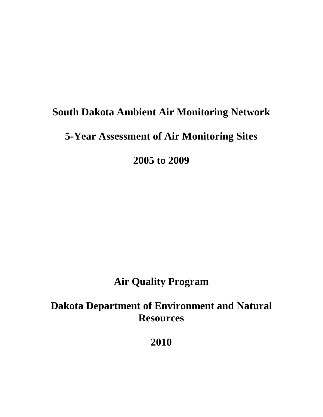# **South Dakota Ambient Air Monitoring Network**

# **5-Year Assessment of Air Monitoring Sites**

**2005 to 2009** 

# **Air Quality Program**

# **Dakota Department of Environment and Natural Resources**

**2010**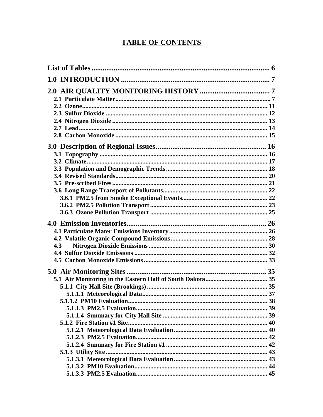# **TABLE OF CONTENTS**

| 4.3 |  |
|-----|--|
|     |  |
|     |  |
|     |  |
|     |  |
|     |  |
|     |  |
|     |  |
|     |  |
|     |  |
|     |  |
|     |  |
|     |  |
|     |  |
|     |  |
|     |  |
|     |  |
|     |  |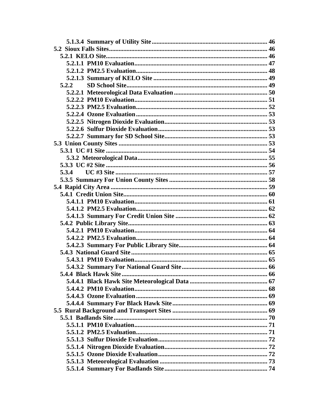| 5.2.2                 |  |
|-----------------------|--|
|                       |  |
|                       |  |
|                       |  |
|                       |  |
|                       |  |
|                       |  |
|                       |  |
|                       |  |
|                       |  |
|                       |  |
|                       |  |
| 5.3.4                 |  |
|                       |  |
|                       |  |
|                       |  |
|                       |  |
|                       |  |
|                       |  |
|                       |  |
|                       |  |
|                       |  |
|                       |  |
|                       |  |
|                       |  |
|                       |  |
| 5.4.4 Black Hawk Site |  |
|                       |  |
|                       |  |
|                       |  |
|                       |  |
|                       |  |
|                       |  |
|                       |  |
|                       |  |
|                       |  |
|                       |  |
|                       |  |
|                       |  |
|                       |  |
|                       |  |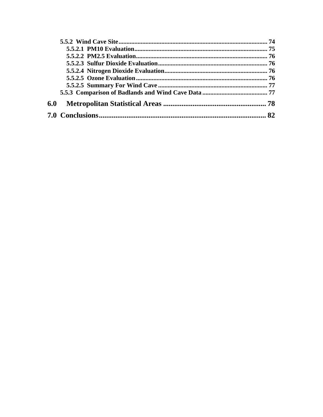| 6.0 |    |
|-----|----|
|     | 82 |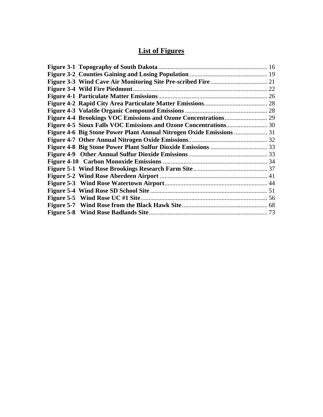# **List of Figures**

| Figure 4-6 Big Stone Power Plant Annual Nitrogen Oxide Emissions  31 |
|----------------------------------------------------------------------|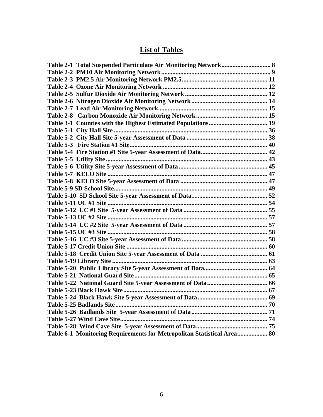# **List of Tables**

<span id="page-5-0"></span>

| Table 6-1 Monitoring Requirements for Metropolitan Statistical Area 80 |  |
|------------------------------------------------------------------------|--|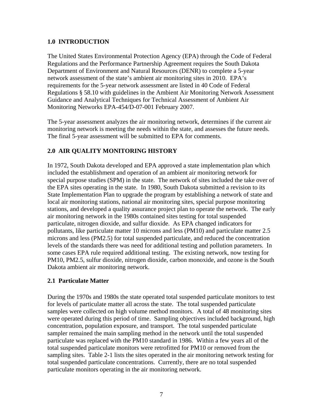# <span id="page-6-0"></span>**1.0 INTRODUCTION**

The United States Environmental Protection Agency (EPA) through the Code of Federal Regulations and the Performance Partnership Agreement requires the South Dakota Department of Environment and Natural Resources (DENR) to complete a 5-year network assessment of the state's ambient air monitoring sites in 2010. EPA's requirements for the 5-year network assessment are listed in 40 Code of Federal Regulations § 58.10 with guidelines in the Ambient Air Monitoring Network Assessment Guidance and Analytical Techniques for Technical Assessment of Ambient Air Monitoring Networks EPA-454/D-07-001 February 2007.

The 5-year assessment analyzes the air monitoring network, determines if the current air monitoring network is meeting the needs within the state, and assesses the future needs. The final 5-year assessment will be submitted to EPA for comments.

# **2.0 AIR QUALITY MONITORING HISTORY**

In 1972, South Dakota developed and EPA approved a state implementation plan which included the establishment and operation of an ambient air monitoring network for special purpose studies (SPM) in the state. The network of sites included the take over of the EPA sites operating in the state. In 1980, South Dakota submitted a revision to its State Implementation Plan to upgrade the program by establishing a network of state and local air monitoring stations, national air monitoring sites, special purpose monitoring stations, and developed a quality assurance project plan to operate the network. The early air monitoring network in the 1980s contained sites testing for total suspended particulate, nitrogen dioxide, and sulfur dioxide. As EPA changed indicators for pollutants, like particulate matter 10 microns and less (PM10) and particulate matter 2.5 microns and less (PM2.5) for total suspended particulate, and reduced the concentration levels of the standards there was need for additional testing and pollution parameters. In some cases EPA rule required additional testing. The existing network, now testing for PM10, PM2.5, sulfur dioxide, nitrogen dioxide, carbon monoxide, and ozone is the South Dakota ambient air monitoring network.

# **2.1 Particulate Matter**

During the 1970s and 1980s the state operated total suspended particulate monitors to test for levels of particulate matter all across the state. The total suspended particulate samples were collected on high volume method monitors. A total of 48 monitoring sites were operated during this period of time. Sampling objectives included background, high concentration, population exposure, and transport. The total suspended particulate sampler remained the main sampling method in the network until the total suspended particulate was replaced with the PM10 standard in 1986. Within a few years all of the total suspended particulate monitors were retrofitted for PM10 or removed from the sampling sites. Table 2-1 lists the sites operated in the air monitoring network testing for total suspended particulate concentrations. Currently, there are no total suspended particulate monitors operating in the air monitoring network.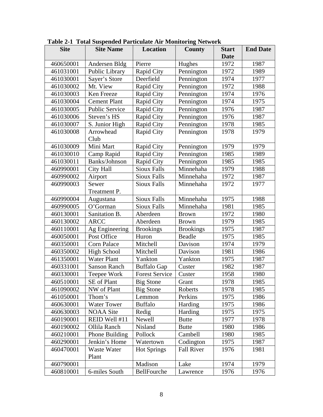| <b>Site</b> | <b>Site Name</b>    | <b>Location</b>       | <b>County</b>     | <b>Start</b> | <b>End Date</b> |
|-------------|---------------------|-----------------------|-------------------|--------------|-----------------|
|             |                     |                       |                   | <b>Date</b>  |                 |
| 460650001   | Andersen Bldg       | Pierre                | Hughes            | 1972         | 1987            |
| 461031001   | Public Library      | Rapid City            | Pennington        | 1972         | 1989            |
| 461030001   | Sayer's Store       | Deerfield             | Pennington        | 1974         | 1977            |
| 461030002   | Mt. View            | Rapid City            | Pennington        | 1972         | 1988            |
| 461030003   | Ken Freeze          | Rapid City            | Pennington        | 1974         | 1976            |
| 461030004   | <b>Cement Plant</b> | Rapid City            | Pennington        | 1974         | 1975            |
| 461030005   | Public Service      | Rapid City            | Pennington        | 1976         | 1987            |
| 461030006   | Steven's HS         | Rapid City            | Pennington        | 1976         | 1987            |
| 461030007   | S. Junior High      | Rapid City            | Pennington        | 1978         | 1985            |
| 461030008   | Arrowhead           | Rapid City            | Pennington        | 1978         | 1979            |
|             | Club                |                       |                   |              |                 |
| 461030009   | Mini Mart           | Rapid City            | Pennington        | 1979         | 1979            |
| 461030010   | Camp Rapid          | Rapid City            | Pennington        | 1985         | 1989            |
| 461030011   | Banks/Johnson       | Rapid City            | Pennington        | 1985         | 1985            |
| 460990001   | City Hall           | <b>Sioux Falls</b>    | Minnehaha         | 1979         | 1988            |
| 460990002   | Airport             | <b>Sioux Falls</b>    | Minnehaha         | 1972         | 1987            |
| 460990003   | Sewer               | <b>Sioux Falls</b>    | Minnehaha         | 1972         | 1977            |
|             | Treatment P.        |                       |                   |              |                 |
| 460990004   | Augustana           | <b>Sioux Falls</b>    | Minnehaha         | 1975         | 1988            |
| 460990005   | O'Gorman            | <b>Sioux Falls</b>    | Minnehaha         | 1981         | 1985            |
| 460130001   | Sanitation B.       | Aberdeen              | <b>Brown</b>      | 1972         | 1980            |
| 460130002   | <b>ARCC</b>         | Aberdeen              | <b>Brown</b>      | 1979         | 1985            |
| 460110001   | Ag Engineering      | <b>Brookings</b>      | <b>Brookings</b>  | 1975         | 1987            |
| 460050001   | Post Office         | Huron                 | Beadle            | 1975         | 1985            |
| 460350001   | Corn Palace         | Mitchell              | Davison           | 1974         | 1979            |
| 460350002   | <b>High School</b>  | Mitchell              | Davison           | 1981         | 1986            |
| 461350001   | <b>Water Plant</b>  | Yankton               | Yankton           | 1975         | 1987            |
| 460331001   | <b>Sanson Ranch</b> | <b>Buffalo Gap</b>    | Custer            | 1982         | 1987            |
| 460330001   | Teepee Work         | <b>Forest Service</b> | Custer            | 1958         | 1980            |
| 460510001   | SE of Plant         | <b>Big Stone</b>      | Grant             | 1978         | 1985            |
| 461090002   | NW of Plant         | <b>Big Stone</b>      | Roberts           | 1978         | 1985            |
| 461050001   | Thom's              | Lemmon                | Perkins           | 1975         | 1986            |
| 460630001   | <b>Water Tower</b>  | <b>Buffalo</b>        | Harding           | 1975         | 1986            |
| 460630003   | <b>NOAA</b> Site    | Redig                 | Harding           | 1975         | 1975            |
| 460190001   | REID Well #11       | Newell                | <b>Butte</b>      | 1977         | 1978            |
| 460190002   | Ollila Ranch        | Nisland               | <b>Butte</b>      | 1980         | 1986            |
| 460210001   | Phone Building      | Pollock               | Cambell           | 1980         | 1985            |
| 460290001   | Jenkin's Home       | Watertown             | Codington         | 1975         | 1987            |
| 460470001   | Waste Water         | <b>Hot Springs</b>    | <b>Fall River</b> | 1976         | 1981            |
|             | Plant               |                       |                   |              |                 |
| 460790001   |                     | Madison               | Lake              | 1974         | 1979            |
| 460810001   | 6-miles South       | BellFourche           | Lawrence          | 1976         | 1976            |

<span id="page-7-0"></span>**Table 2-1 Total Suspended Particulate Air Monitoring Network**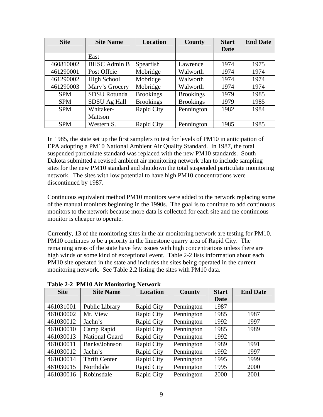<span id="page-8-0"></span>

| <b>Site</b> | <b>Site Name</b>    | <b>Location</b>   | County           | <b>Start</b> | <b>End Date</b> |
|-------------|---------------------|-------------------|------------------|--------------|-----------------|
|             |                     |                   |                  | Date         |                 |
|             | East                |                   |                  |              |                 |
| 460810002   | <b>BHSC</b> Admin B | Spearfish         | Lawrence         | 1974         | 1975            |
| 461290001   | Post Offcie         | Mobridge          | Walworth         | 1974         | 1974            |
| 461290002   | High School         | Mobridge          | Walworth         | 1974         | 1974            |
| 461290003   | Marv's Grocery      | Mobridge          | Walworth         | 1974         | 1974            |
| <b>SPM</b>  | <b>SDSU</b> Rotunda | <b>Brookings</b>  | <b>Brookings</b> | 1979         | 1985            |
| <b>SPM</b>  | SDSU Ag Hall        | <b>Brookings</b>  | <b>Brookings</b> | 1979         | 1985            |
| <b>SPM</b>  | Whitaker-           | Rapid City        | Pennington       | 1982         | 1984            |
|             | <b>Mattson</b>      |                   |                  |              |                 |
| <b>SPM</b>  | Western S.          | <b>Rapid City</b> | Pennington       | 1985         | 1985            |

In 1985, the state set up the first samplers to test for levels of PM10 in anticipation of EPA adopting a PM10 National Ambient Air Quality Standard. In 1987, the total suspended particulate standard was replaced with the new PM10 standards. South Dakota submitted a revised ambient air monitoring network plan to include sampling sites for the new PM10 standard and shutdown the total suspended particulate monitoring network. The sites with low potential to have high PM10 concentrations were discontinued by 1987.

Continuous equivalent method PM10 monitors were added to the network replacing some of the manual monitors beginning in the 1990s. The goal is to continue to add continuous monitors to the network because more data is collected for each site and the continuous monitor is cheaper to operate.

Currently, 13 of the monitoring sites in the air monitoring network are testing for PM10. PM10 continues to be a priority in the limestone quarry area of Rapid City. The remaining areas of the state have few issues with high concentrations unless there are high winds or some kind of exceptional event. Table 2-2 lists information about each PM10 site operated in the state and includes the sites being operated in the current monitoring network. See Table 2.2 listing the sites with PM10 data.

| <b>Site</b> | <b>Site Name</b>      | <b>Location</b> | County     | <b>Start</b> | <b>End Date</b> |
|-------------|-----------------------|-----------------|------------|--------------|-----------------|
|             |                       |                 |            | Date         |                 |
| 461031001   | Public Library        | Rapid City      | Pennington | 1987         |                 |
| 461030002   | Mt. View              | Rapid City      | Pennington | 1985         | 1987            |
| 461030012   | Jaehn's               | Rapid City      | Pennington | 1992         | 1997            |
| 461030010   | Camp Rapid            | Rapid City      | Pennington | 1985         | 1989            |
| 461030013   | <b>National Guard</b> | Rapid City      | Pennington | 1992         |                 |
| 461030011   | Banks/Johnson         | Rapid City      | Pennington | 1989         | 1991            |
| 461030012   | Jaehn's               | Rapid City      | Pennington | 1992         | 1997            |
| 461030014   | <b>Thrift Center</b>  | Rapid City      | Pennington | 1995         | 1999            |
| 461030015   | Northdale             | Rapid City      | Pennington | 1995         | 2000            |
| 461030016   | Robinsdale            | Rapid City      | Pennington | 2000         | 2001            |

**Table 2-2 PM10 Air Monitoring Network**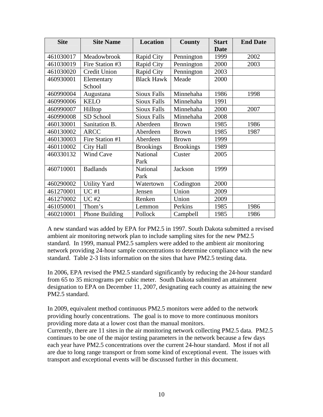| <b>Site</b> | <b>Site Name</b>    | Location           | County           | <b>Start</b> | <b>End Date</b> |
|-------------|---------------------|--------------------|------------------|--------------|-----------------|
|             |                     |                    |                  | <b>Date</b>  |                 |
| 461030017   | Meadowbrook         | Rapid City         | Pennington       | 1999         | 2002            |
| 461030019   | Fire Station #3     | Rapid City         | Pennington       | 2000         | 2003            |
| 461030020   | Credit Union        | Rapid City         | Pennington       | 2003         |                 |
| 460930001   | Elementary          | <b>Black Hawk</b>  | Meade            | 2000         |                 |
|             | School              |                    |                  |              |                 |
| 460990004   | Augustana           | <b>Sioux Falls</b> | Minnehaha        | 1986         | 1998            |
| 460990006   | <b>KELO</b>         | <b>Sioux Falls</b> | Minnehaha        | 1991         |                 |
| 460990007   | Hilltop             | <b>Sioux Falls</b> | Minnehaha        | 2000         | 2007            |
| 460990008   | SD School           | <b>Sioux Falls</b> | Minnehaha        | 2008         |                 |
| 460130001   | Sanitation B.       | Aberdeen           | <b>Brown</b>     | 1985         | 1986            |
| 460130002   | <b>ARCC</b>         | Aberdeen           | <b>Brown</b>     | 1985         | 1987            |
| 460130003   | Fire Station #1     | Aberdeen           | <b>Brown</b>     | 1999         |                 |
| 460110002   | City Hall           | <b>Brookings</b>   | <b>Brookings</b> | 1989         |                 |
| 460330132   | <b>Wind Cave</b>    | National           | Custer           | 2005         |                 |
|             |                     | Park               |                  |              |                 |
| 460710001   | <b>Badlands</b>     | National           | Jackson          | 1999         |                 |
|             |                     | Park               |                  |              |                 |
| 460290002   | <b>Utility Yard</b> | Watertown          | Codington        | 2000         |                 |
| 461270001   | UC#1                | Jensen             | Union            | 2009         |                 |
| 461270002   | $UC$ #2             | Renken             | Union            | 2009         |                 |
| 461050001   | Thom's              | Lemmon             | Perkins          | 1985         | 1986            |
| 460210001   | Phone Building      | Pollock            | Campbell         | 1985         | 1986            |

A new standard was added by EPA for PM2.5 in 1997. South Dakota submitted a revised ambient air monitoring network plan to include sampling sites for the new PM2.5 standard. In 1999, manual PM2.5 samplers were added to the ambient air monitoring network providing 24-hour sample concentrations to determine compliance with the new standard. Table 2-3 lists information on the sites that have PM2.5 testing data.

In 2006, EPA revised the PM2.5 standard significantly by reducing the 24-hour standard from 65 to 35 micrograms per cubic meter. South Dakota submitted an attainment designation to EPA on December 11, 2007, designating each county as attaining the new PM2.5 standard.

In 2009, equivalent method continuous PM2.5 monitors were added to the network providing hourly concentrations. The goal is to move to more continuous monitors providing more data at a lower cost than the manual monitors.

Currently, there are 11 sites in the air monitoring network collecting PM2.5 data. PM2.5 continues to be one of the major testing parameters in the network because a few days each year have PM2.5 concentrations over the current 24-hour standard. Most if not all are due to long range transport or from some kind of exceptional event. The issues with transport and exceptional events will be discussed further in this document.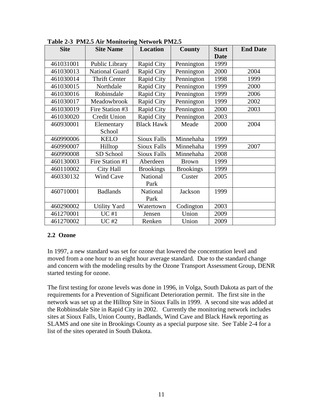| <b>Site</b> | <b>Site Name</b>     | <b>Location</b>    | County           | <b>Start</b> | <b>End Date</b> |
|-------------|----------------------|--------------------|------------------|--------------|-----------------|
|             |                      |                    |                  | <b>Date</b>  |                 |
| 461031001   | Public Library       | Rapid City         | Pennington       | 1999         |                 |
| 461030013   | National Guard       | Rapid City         | Pennington       | 2000         | 2004            |
| 461030014   | <b>Thrift Center</b> | Rapid City         | Pennington       | 1998         | 1999            |
| 461030015   | Northdale            | Rapid City         | Pennington       | 1999         | 2000            |
| 461030016   | Robinsdale           | Rapid City         | Pennington       | 1999         | 2006            |
| 461030017   | Meadowbrook          | Rapid City         | Pennington       | 1999         | 2002            |
| 461030019   | Fire Station #3      | Rapid City         | Pennington       | 2000         | 2003            |
| 461030020   | <b>Credit Union</b>  | Rapid City         | Pennington       | 2003         |                 |
| 460930001   | Elementary           | <b>Black Hawk</b>  | Meade            | 2000         | 2004            |
|             | School               |                    |                  |              |                 |
| 460990006   | <b>KELO</b>          | <b>Sioux Falls</b> | Minnehaha        | 1999         |                 |
| 460990007   | Hilltop              | <b>Sioux Falls</b> | Minnehaha        | 1999         | 2007            |
| 460990008   | SD School            | <b>Sioux Falls</b> | Minnehaha        | 2008         |                 |
| 460130003   | Fire Station #1      | Aberdeen           | <b>Brown</b>     | 1999         |                 |
| 460110002   | City Hall            | <b>Brookings</b>   | <b>Brookings</b> | 1999         |                 |
| 460330132   | <b>Wind Cave</b>     | National           | Custer           | 2005         |                 |
|             |                      | Park               |                  |              |                 |
| 460710001   | <b>Badlands</b>      | National           | Jackson          | 1999         |                 |
|             |                      | Park               |                  |              |                 |
| 460290002   | <b>Utility Yard</b>  | Watertown          | Codington        | 2003         |                 |
| 461270001   | <b>UC#1</b>          | Jensen             | Union            | 2009         |                 |
| 461270002   | <b>UC#2</b>          | Renken             | Union            | 2009         |                 |

<span id="page-10-0"></span>**Table 2-3 PM2.5 Air Monitoring Network PM2.5** 

### **2.2 Ozone**

In 1997, a new standard was set for ozone that lowered the concentration level and moved from a one hour to an eight hour average standard. Due to the standard change and concern with the modeling results by the Ozone Transport Assessment Group, DENR started testing for ozone.

The first testing for ozone levels was done in 1996, in Volga, South Dakota as part of the requirements for a Prevention of Significant Deterioration permit. The first site in the network was set up at the Hilltop Site in Sioux Falls in 1999. A second site was added at the Robbinsdale Site in Rapid City in 2002. Currently the monitoring network includes sites at Sioux Falls, Union County, Badlands, Wind Cave and Black Hawk reporting as SLAMS and one site in Brookings County as a special purpose site. See Table 2-4 for a list of the sites operated in South Dakota.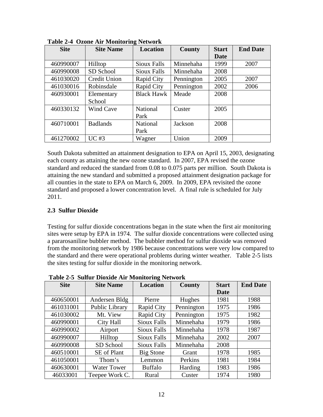| <b>Site</b> | <b>Site Name</b> | Location           | County     | <b>Start</b> | <b>End Date</b> |
|-------------|------------------|--------------------|------------|--------------|-----------------|
|             |                  |                    |            | Date         |                 |
| 460990007   | Hilltop          | <b>Sioux Falls</b> | Minnehaha  | 1999         | 2007            |
| 460990008   | SD School        | <b>Sioux Falls</b> | Minnehaha  | 2008         |                 |
| 461030020   | Credit Union     | Rapid City         | Pennington | 2005         | 2007            |
| 461030016   | Robinsdale       | Rapid City         | Pennington | 2002         | 2006            |
| 460930001   | Elementary       | <b>Black Hawk</b>  | Meade      | 2008         |                 |
|             | School           |                    |            |              |                 |
| 460330132   | <b>Wind Cave</b> | National           | Custer     | 2005         |                 |
|             |                  | Park               |            |              |                 |
| 460710001   | <b>Badlands</b>  | National           | Jackson    | 2008         |                 |
|             |                  | Park               |            |              |                 |
| 461270002   | $UC$ #3          | Wagner             | Union      | 2009         |                 |

<span id="page-11-0"></span>**Table 2-4 Ozone Air Monitoring Network** 

South Dakota submitted an attainment designation to EPA on April 15, 2003, designating each county as attaining the new ozone standard. In 2007, EPA revised the ozone standard and reduced the standard from 0.08 to 0.075 parts per million. South Dakota is attaining the new standard and submitted a proposed attainment designation package for all counties in the state to EPA on March 6, 2009. In 2009, EPA revisited the ozone standard and proposed a lower concentration level. A final rule is scheduled for July 2011.

### **2.3 Sulfur Dioxide**

Testing for sulfur dioxide concentrations began in the state when the first air monitoring sites were setup by EPA in 1974. The sulfur dioxide concentrations were collected using a pararosaniline bubbler method. The bubbler method for sulfur dioxide was removed from the monitoring network by 1986 because concentrations were very low compared to the standard and there were operational problems during winter weather. Table 2-5 lists the sites testing for sulfur dioxide in the monitoring network.

| <b>Site</b> | <b>Site Name</b>   | o<br><b>Location</b> | County     | <b>Start</b> | <b>End Date</b> |
|-------------|--------------------|----------------------|------------|--------------|-----------------|
|             |                    |                      |            | Date         |                 |
| 460650001   | Andersen Bldg      | Pierre               | Hughes     | 1981         | 1988            |
| 461031001   | Public Library     | Rapid City           | Pennington | 1975         | 1986            |
| 461030002   | Mt. View           | Rapid City           | Pennington | 1975         | 1982            |
| 460990001   | City Hall          | Sioux Falls          | Minnehaha  | 1979         | 1986            |
| 460990002   | Airport            | Sioux Falls          | Minnehaha  | 1978         | 1987            |
| 460990007   | Hilltop            | Sioux Falls          | Minnehaha  | 2002         | 2007            |
| 460990008   | SD School          | <b>Sioux Falls</b>   | Minnehaha  | 2008         |                 |
| 460510001   | <b>SE</b> of Plant | Big Stone            | Grant      | 1978         | 1985            |
| 461050001   | Thom's             | Lemmon               | Perkins    | 1981         | 1984            |
| 460630001   | <b>Water Tower</b> | <b>Buffalo</b>       | Harding    | 1983         | 1986            |
| 46033001    | Teepee Work C.     | Rural                | Custer     | 1974         | 1980            |

**Table 2-5 Sulfur Dioxide Air Monitoring Network**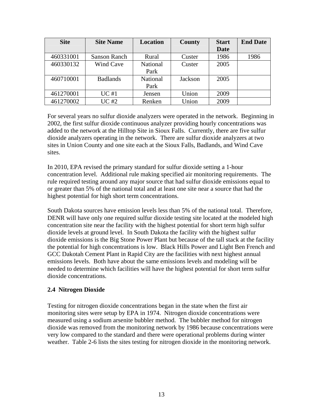<span id="page-12-0"></span>

| <b>Site</b> | <b>Site Name</b> | <b>Location</b> | <b>County</b> | <b>Start</b> | <b>End Date</b> |
|-------------|------------------|-----------------|---------------|--------------|-----------------|
|             |                  |                 |               | <b>Date</b>  |                 |
| 460331001   | Sanson Ranch     | Rural           | Custer        | 1986         | 1986            |
| 460330132   | Wind Cave        | National        | Custer        | 2005         |                 |
|             |                  | Park            |               |              |                 |
| 460710001   | <b>Badlands</b>  | National        | Jackson       | 2005         |                 |
|             |                  | Park            |               |              |                 |
| 461270001   | UC#1             | Jensen          | Union         | 2009         |                 |
| 461270002   | <b>UC#2</b>      | Renken          | Union         | 2009         |                 |

For several years no sulfur dioxide analyzers were operated in the network. Beginning in 2002, the first sulfur dioxide continuous analyzer providing hourly concentrations was added to the network at the Hilltop Site in Sioux Falls. Currently, there are five sulfur dioxide analyzers operating in the network. There are sulfur dioxide analyzers at two sites in Union County and one site each at the Sioux Falls, Badlands, and Wind Cave sites.

In 2010, EPA revised the primary standard for sulfur dioxide setting a 1-hour concentration level. Additional rule making specified air monitoring requirements. The rule required testing around any major source that had sulfur dioxide emissions equal to or greater than 5% of the national total and at least one site near a source that had the highest potential for high short term concentrations.

South Dakota sources have emission levels less than 5% of the national total. Therefore, DENR will have only one required sulfur dioxide testing site located at the modeled high concentration site near the facility with the highest potential for short term high sulfur dioxide levels at ground level. In South Dakota the facility with the highest sulfur dioxide emissions is the Big Stone Power Plant but because of the tall stack at the facility the potential for high concentrations is low. Black Hills Power and Light Ben French and GCC Dakotah Cement Plant in Rapid City are the facilities with next highest annual emissions levels. Both have about the same emissions levels and modeling will be needed to determine which facilities will have the highest potential for short term sulfur dioxide concentrations.

### **2.4 Nitrogen Dioxide**

Testing for nitrogen dioxide concentrations began in the state when the first air monitoring sites were setup by EPA in 1974. Nitrogen dioxide concentrations were measured using a sodium arsenite bubbler method. The bubbler method for nitrogen dioxide was removed from the monitoring network by 1986 because concentrations were very low compared to the standard and there were operational problems during winter weather. Table 2-6 lists the sites testing for nitrogen dioxide in the monitoring network.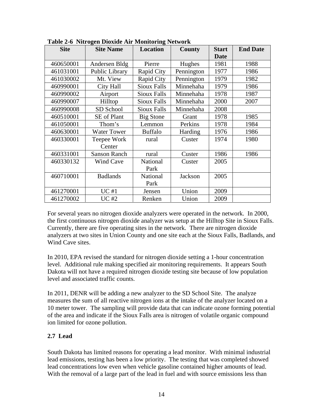| <b>Site</b> | <b>Site Name</b>      | <b>Location</b>    | County         | <b>Start</b><br><b>Date</b> | <b>End Date</b> |
|-------------|-----------------------|--------------------|----------------|-----------------------------|-----------------|
| 460650001   | Andersen Bldg         | Pierre             | Hughes         | 1981                        | 1988            |
| 461031001   | Public Library        | Rapid City         | Pennington     | 1977                        | 1986            |
| 461030002   | Mt. View              | Rapid City         | Pennington     | 1979                        | 1982            |
| 460990001   | City Hall             | <b>Sioux Falls</b> | Minnehaha      | 1979                        | 1986            |
| 460990002   | Airport               | Sioux Falls        | Minnehaha      | 1978                        | 1987            |
| 460990007   | Hilltop               | Sioux Falls        | Minnehaha      | 2000                        | 2007            |
| 460990008   | SD School             | Sioux Falls        | Minnehaha      | 2008                        |                 |
| 460510001   | SE of Plant           | <b>Big Stone</b>   | Grant          | 1978                        | 1985            |
| 461050001   | Thom's                | Lemmon             | Perkins        | 1978                        | 1984            |
| 460630001   | <b>Water Tower</b>    | <b>Buffalo</b>     | Harding        | 1976                        | 1986            |
| 460330001   | Teepee Work<br>Center | rural              | Custer         | 1974                        | 1980            |
| 460331001   | <b>Sanson Ranch</b>   | rural              | Custer         | 1986                        | 1986            |
| 460330132   | Wind Cave             | National           | Custer         | 2005                        |                 |
|             |                       | Park               |                |                             |                 |
| 460710001   | <b>Badlands</b>       | National           | <b>Jackson</b> | 2005                        |                 |
|             |                       | Park               |                |                             |                 |
| 461270001   | UC#1                  | Jensen             | Union          | 2009                        |                 |
| 461270002   | <b>UC#2</b>           | Renken             | Union          | 2009                        |                 |

<span id="page-13-0"></span>**Table 2-6 Nitrogen Dioxide Air Monitoring Network** 

For several years no nitrogen dioxide analyzers were operated in the network. In 2000, the first continuous nitrogen dioxide analyzer was setup at the Hilltop Site in Sioux Falls. Currently, there are five operating sites in the network. There are nitrogen dioxide analyzers at two sites in Union County and one site each at the Sioux Falls, Badlands, and Wind Cave sites.

In 2010, EPA revised the standard for nitrogen dioxide setting a 1-hour concentration level. Additional rule making specified air monitoring requirements. It appears South Dakota will not have a required nitrogen dioxide testing site because of low population level and associated traffic counts.

In 2011, DENR will be adding a new analyzer to the SD School Site. The analyze measures the sum of all reactive nitrogen ions at the intake of the analyzer located on a 10 meter tower. The sampling will provide data that can indicate ozone forming potential of the area and indicate if the Sioux Falls area is nitrogen of volatile organic compound ion limited for ozone pollution.

### **2.7 Lead**

South Dakota has limited reasons for operating a lead monitor. With minimal industrial lead emissions, testing has been a low priority. The testing that was completed showed lead concentrations low even when vehicle gasoline contained higher amounts of lead. With the removal of a large part of the lead in fuel and with source emissions less than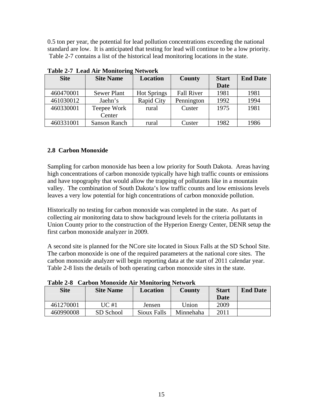<span id="page-14-0"></span>0.5 ton per year, the potential for lead pollution concentrations exceeding the national standard are low. It is anticipated that testing for lead will continue to be a low priority. Table 2-7 contains a list of the historical lead monitoring locations in the state.

| <b>Site</b> | <b>Site Name</b>    | Location           | County            | <b>Start</b> | <b>End Date</b> |
|-------------|---------------------|--------------------|-------------------|--------------|-----------------|
|             |                     |                    |                   | <b>Date</b>  |                 |
| 460470001   | <b>Sewer Plant</b>  | <b>Hot Springs</b> | <b>Fall River</b> | 1981         | 1981            |
| 461030012   | Jaehn's             | Rapid City         | Pennington        | 1992         | 1994            |
| 460330001   | Teepee Work         | rural              | Custer            | 1975         | 1981            |
|             | Center              |                    |                   |              |                 |
| 460331001   | <b>Sanson Ranch</b> | rural              | Custer            | 1982         | 1986            |

**Table 2-7 Lead Air Monitoring Network** 

# **2.8 Carbon Monoxide**

Sampling for carbon monoxide has been a low priority for South Dakota. Areas having high concentrations of carbon monoxide typically have high traffic counts or emissions and have topography that would allow the trapping of pollutants like in a mountain valley. The combination of South Dakota's low traffic counts and low emissions levels leaves a very low potential for high concentrations of carbon monoxide pollution.

Historically no testing for carbon monoxide was completed in the state. As part of collecting air monitoring data to show background levels for the criteria pollutants in Union County prior to the construction of the Hyperion Energy Center, DENR setup the first carbon monoxide analyzer in 2009.

A second site is planned for the NCore site located in Sioux Falls at the SD School Site. The carbon monoxide is one of the required parameters at the national core sites. The carbon monoxide analyzer will begin reporting data at the start of 2011 calendar year. Table 2-8 lists the details of both operating carbon monoxide sites in the state.

| Tanic 2-0<br>Carbon Monoarde An Wromtoring Retwork |                  |             |               |              |                 |
|----------------------------------------------------|------------------|-------------|---------------|--------------|-----------------|
| <b>Site</b>                                        | <b>Site Name</b> | Location    | <b>County</b> | <b>Start</b> | <b>End Date</b> |
|                                                    |                  |             |               | Date         |                 |
| 461270001                                          | UC#1             | Jensen      | Union         | 2009         |                 |
| 460990008                                          | SD School        | Sioux Falls | Minnehaha     | 2011         |                 |

**Table 2-8 Carbon Monoxide Air Monitoring Network**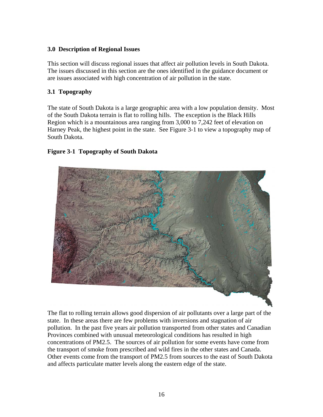# <span id="page-15-0"></span>**3.0 Description of Regional Issues**

This section will discuss regional issues that affect air pollution levels in South Dakota. The issues discussed in this section are the ones identified in the guidance document or are issues associated with high concentration of air pollution in the state.

# **3.1 Topography**

The state of South Dakota is a large geographic area with a low population density. Most of the South Dakota terrain is flat to rolling hills. The exception is the Black Hills Region which is a mountainous area ranging from 3,000 to 7,242 feet of elevation on Harney Peak, the highest point in the state. See Figure 3-1 to view a topography map of South Dakota.

# **Figure 3-1 Topography of South Dakota**



The flat to rolling terrain allows good dispersion of air pollutants over a large part of the state. In these areas there are few problems with inversions and stagnation of air pollution. In the past five years air pollution transported from other states and Canadian Provinces combined with unusual meteorological conditions has resulted in high concentrations of PM2.5. The sources of air pollution for some events have come from the transport of smoke from prescribed and wild fires in the other states and Canada. Other events come from the transport of PM2.5 from sources to the east of South Dakota and affects particulate matter levels along the eastern edge of the state.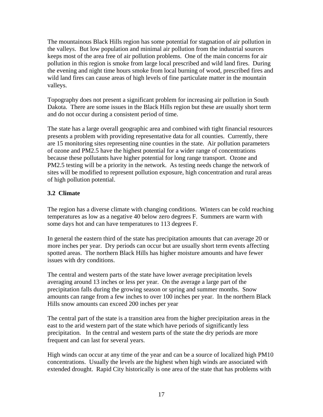<span id="page-16-0"></span>The mountainous Black Hills region has some potential for stagnation of air pollution in the valleys. But low population and minimal air pollution from the industrial sources keeps most of the area free of air pollution problems. One of the main concerns for air pollution in this region is smoke from large local prescribed and wild land fires. During the evening and night time hours smoke from local burning of wood, prescribed fires and wild land fires can cause areas of high levels of fine particulate matter in the mountain valleys.

Topography does not present a significant problem for increasing air pollution in South Dakota. There are some issues in the Black Hills region but these are usually short term and do not occur during a consistent period of time.

The state has a large overall geographic area and combined with tight financial resources presents a problem with providing representative data for all counties. Currently, there are 15 monitoring sites representing nine counties in the state. Air pollution parameters of ozone and PM2.5 have the highest potential for a wider range of concentrations because these pollutants have higher potential for long range transport. Ozone and PM2.5 testing will be a priority in the network. As testing needs change the network of sites will be modified to represent pollution exposure, high concentration and rural areas of high pollution potential.

# **3.2 Climate**

The region has a diverse climate with changing conditions. Winters can be cold reaching temperatures as low as a negative 40 below zero degrees F. Summers are warm with some days hot and can have temperatures to 113 degrees F.

In general the eastern third of the state has precipitation amounts that can average 20 or more inches per year. Dry periods can occur but are usually short term events affecting spotted areas. The northern Black Hills has higher moisture amounts and have fewer issues with dry conditions.

The central and western parts of the state have lower average precipitation levels averaging around 13 inches or less per year. On the average a large part of the precipitation falls during the growing season or spring and summer months. Snow amounts can range from a few inches to over 100 inches per year. In the northern Black Hills snow amounts can exceed 200 inches per year

The central part of the state is a transition area from the higher precipitation areas in the east to the arid western part of the state which have periods of significantly less precipitation. In the central and western parts of the state the dry periods are more frequent and can last for several years.

High winds can occur at any time of the year and can be a source of localized high PM10 concentrations. Usually the levels are the highest when high winds are associated with extended drought. Rapid City historically is one area of the state that has problems with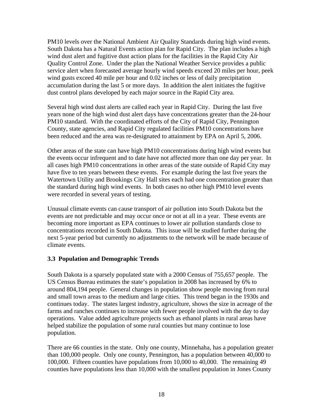<span id="page-17-0"></span>PM10 levels over the National Ambient Air Quality Standards during high wind events. South Dakota has a Natural Events action plan for Rapid City. The plan includes a high wind dust alert and fugitive dust action plans for the facilities in the Rapid City Air Quality Control Zone. Under the plan the National Weather Service provides a public service alert when forecasted average hourly wind speeds exceed 20 miles per hour, peek wind gusts exceed 40 mile per hour and 0.02 inches or less of daily precipitation accumulation during the last 5 or more days. In addition the alert initiates the fugitive dust control plans developed by each major source in the Rapid City area.

Several high wind dust alerts are called each year in Rapid City. During the last five years none of the high wind dust alert days have concentrations greater than the 24-hour PM10 standard. With the coordinated efforts of the City of Rapid City, Pennington County, state agencies, and Rapid City regulated facilities PM10 concentrations have been reduced and the area was re-designated to attainment by EPA on April 5, 2006.

Other areas of the state can have high PM10 concentrations during high wind events but the events occur infrequent and to date have not affected more than one day per year. In all cases high PM10 concentrations in other areas of the state outside of Rapid City may have five to ten years between these events. For example during the last five years the Watertown Utility and Brookings City Hall sites each had one concentration greater than the standard during high wind events. In both cases no other high PM10 level events were recorded in several years of testing.

Unusual climate events can cause transport of air pollution into South Dakota but the events are not predictable and may occur once or not at all in a year. These events are becoming more important as EPA continues to lower air pollution standards close to concentrations recorded in South Dakota. This issue will be studied further during the next 5-year period but currently no adjustments to the network will be made because of climate events.

### **3.3 Population and Demographic Trends**

South Dakota is a sparsely populated state with a 2000 Census of 755,657 people. The US Census Bureau estimates the state's population in 2008 has increased by 6% to around 804,194 people. General changes in population show people moving from rural and small town areas to the medium and large cities. This trend began in the 1930s and continues today. The states largest industry, agriculture, shows the size in acreage of the farms and ranches continues to increase with fewer people involved with the day to day operations. Value added agriculture projects such as ethanol plants in rural areas have helped stabilize the population of some rural counties but many continue to lose population.

There are 66 counties in the state. Only one county, Minnehaha, has a population greater than 100,000 people. Only one county, Pennington, has a population between 40,000 to 100,000. Fifteen counties have populations from 10,000 to 40,000. The remaining 49 counties have populations less than 10,000 with the smallest population in Jones County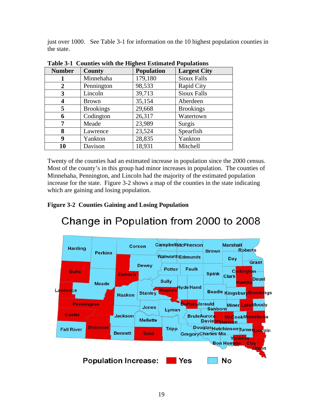<span id="page-18-0"></span>just over 1000. See Table 3-1 for information on the 10 highest population counties in the state.

| <b>Number</b>  | <b>County</b>    | ິ<br><b>Population</b> | <b>Largest City</b> |
|----------------|------------------|------------------------|---------------------|
|                | Minnehaha        | 179,180                | <b>Sioux Falls</b>  |
| $\overline{2}$ | Pennington       | 98,533                 | Rapid City          |
| 3              | Lincoln          | 39,713                 | <b>Sioux Falls</b>  |
| 4              | <b>Brown</b>     | 35,154                 | Aberdeen            |
| 5              | <b>Brookings</b> | 29,668                 | <b>Brookings</b>    |
| 6              | Codington        | 26,317                 | Watertown           |
| 7              | Meade            | 23,989                 | Surgis              |
| 8              | Lawrence         | 23,524                 | Spearfish           |
| 9              | Yankton          | 28,835                 | Yankton             |
| 10             | Davison          | 18,931                 | Mitchell            |

**Table 3-1 Counties with the Highest Estimated Populations** 

Twenty of the counties had an estimated increase in population since the 2000 census. Most of the county's in this group had minor increases in population. The counties of Minnehaha, Pennington, and Lincoln had the majority of the estimated population increase for the state. Figure 3-2 shows a map of the counties in the state indicating which are gaining and losing population.

# **Figure 3-2 Counties Gaining and Losing Population**



# Change in Population from 2000 to 2008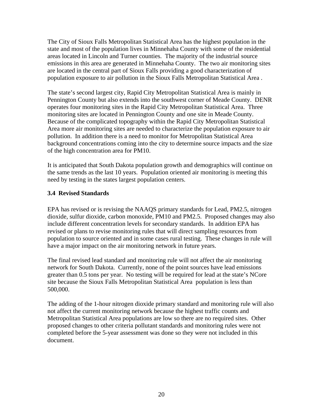<span id="page-19-0"></span>The City of Sioux Falls Metropolitan Statistical Area has the highest population in the state and most of the population lives in Minnehaha County with some of the residential areas located in Lincoln and Turner counties. The majority of the industrial source emissions in this area are generated in Minnehaha County. The two air monitoring sites are located in the central part of Sioux Falls providing a good characterization of population exposure to air pollution in the Sioux Falls Metropolitan Statistical Area .

The state's second largest city, Rapid City Metropolitan Statistical Area is mainly in Pennington County but also extends into the southwest corner of Meade County. DENR operates four monitoring sites in the Rapid City Metropolitan Statistical Area. Three monitoring sites are located in Pennington County and one site in Meade County. Because of the complicated topography within the Rapid City Metropolitan Statistical Area more air monitoring sites are needed to characterize the population exposure to air pollution. In addition there is a need to monitor for Metropolitan Statistical Area background concentrations coming into the city to determine source impacts and the size of the high concentration area for PM10.

It is anticipated that South Dakota population growth and demographics will continue on the same trends as the last 10 years. Population oriented air monitoring is meeting this need by testing in the states largest population centers.

# **3.4 Revised Standards**

EPA has revised or is revising the NAAQS primary standards for Lead, PM2.5, nitrogen dioxide, sulfur dioxide, carbon monoxide, PM10 and PM2.5. Proposed changes may also include different concentration levels for secondary standards. In addition EPA has revised or plans to revise monitoring rules that will direct sampling resources from population to source oriented and in some cases rural testing. These changes in rule will have a major impact on the air monitoring network in future years.

The final revised lead standard and monitoring rule will not affect the air monitoring network for South Dakota. Currently, none of the point sources have lead emissions greater than 0.5 tons per year. No testing will be required for lead at the state's NCore site because the Sioux Falls Metropolitan Statistical Area population is less than 500,000.

The adding of the 1-hour nitrogen dioxide primary standard and monitoring rule will also not affect the current monitoring network because the highest traffic counts and Metropolitan Statistical Area populations are low so there are no required sites. Other proposed changes to other criteria pollutant standards and monitoring rules were not completed before the 5-year assessment was done so they were not included in this document.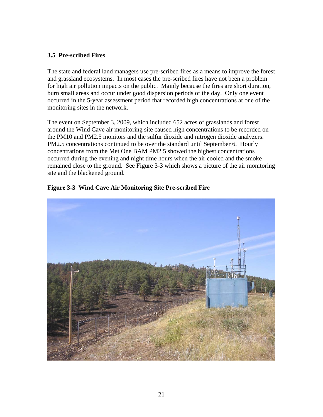### <span id="page-20-0"></span>**3.5 Pre-scribed Fires**

The state and federal land managers use pre-scribed fires as a means to improve the forest and grassland ecosystems. In most cases the pre-scribed fires have not been a problem for high air pollution impacts on the public. Mainly because the fires are short duration, burn small areas and occur under good dispersion periods of the day. Only one event occurred in the 5-year assessment period that recorded high concentrations at one of the monitoring sites in the network.

The event on September 3, 2009, which included 652 acres of grasslands and forest around the Wind Cave air monitoring site caused high concentrations to be recorded on the PM10 and PM2.5 monitors and the sulfur dioxide and nitrogen dioxide analyzers. PM2.5 concentrations continued to be over the standard until September 6. Hourly concentrations from the Met One BAM PM2.5 showed the highest concentrations occurred during the evening and night time hours when the air cooled and the smoke remained close to the ground. See Figure 3-3 which shows a picture of the air monitoring site and the blackened ground.



**Figure 3-3 Wind Cave Air Monitoring Site Pre-scribed Fire**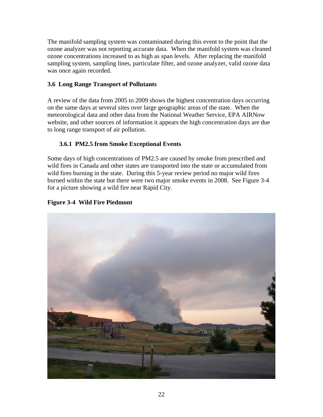<span id="page-21-0"></span>The manifold sampling system was contaminated during this event to the point that the ozone analyzer was not reporting accurate data. When the manifold system was cleaned ozone concentrations increased to as high as span levels. After replacing the manifold sampling system, sampling lines, particulate filter, and ozone analyzer, valid ozone data was once again recorded.

# **3.6 Long Range Transport of Pollutants**

A review of the data from 2005 to 2009 shows the highest concentration days occurring on the same days at several sites over large geographic areas of the state. When the meteorological data and other data from the National Weather Service, EPA AIRNow website, and other sources of information it appears the high concentration days are due to long range transport of air pollution.

# **3.6.1 PM2.5 from Smoke Exceptional Events**

Some days of high concentrations of PM2.5 are caused by smoke from prescribed and wild fires in Canada and other states are transported into the state or accumulated from wild fires burning in the state. During this 5-year review period no major wild fires burned within the state but there were two major smoke events in 2008. See Figure 3-4 for a picture showing a wild fire near Rapid City.

### **Figure 3-4 Wild Fire Piedmont**

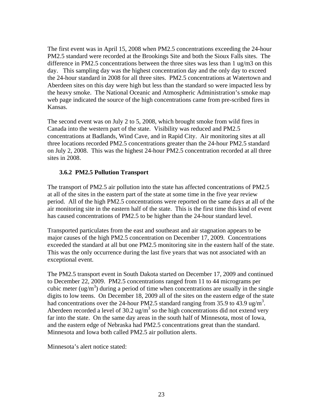<span id="page-22-0"></span>The first event was in April 15, 2008 when PM2.5 concentrations exceeding the 24-hour PM2.5 standard were recorded at the Brookings Site and both the Sioux Falls sites. The difference in PM2.5 concentrations between the three sites was less than 1 ug/m3 on this day. This sampling day was the highest concentration day and the only day to exceed the 24-hour standard in 2008 for all three sites. PM2.5 concentrations at Watertown and Aberdeen sites on this day were high but less than the standard so were impacted less by the heavy smoke. The National Oceanic and Atmospheric Administration's smoke map web page indicated the source of the high concentrations came from pre-scribed fires in Kansas.

The second event was on July 2 to 5, 2008, which brought smoke from wild fires in Canada into the western part of the state. Visibility was reduced and PM2.5 concentrations at Badlands, Wind Cave, and in Rapid City. Air monitoring sites at all three locations recorded PM2.5 concentrations greater than the 24-hour PM2.5 standard on July 2, 2008. This was the highest 24-hour PM2.5 concentration recorded at all three sites in 2008.

### **3.6.2 PM2.5 Pollution Transport**

The transport of PM2.5 air pollution into the state has affected concentrations of PM2.5 at all of the sites in the eastern part of the state at some time in the five year review period. All of the high PM2.5 concentrations were reported on the same days at all of the air monitoring site in the eastern half of the state. This is the first time this kind of event has caused concentrations of PM2.5 to be higher than the 24-hour standard level.

Transported particulates from the east and southeast and air stagnation appears to be major causes of the high PM2.5 concentration on December 17, 2009. Concentrations exceeded the standard at all but one PM2.5 monitoring site in the eastern half of the state. This was the only occurrence during the last five years that was not associated with an exceptional event.

The PM2.5 transport event in South Dakota started on December 17, 2009 and continued to December 22, 2009. PM2.5 concentrations ranged from 11 to 44 micrograms per cubic meter  $\left(\frac{ug}{m^3}\right)$  during a period of time when concentrations are usually in the single digits to low teens. On December 18, 2009 all of the sites on the eastern edge of the state had concentrations over the 24-hour PM2.5 standard ranging from 35.9 to 43.9 ug/m<sup>3</sup>. Aberdeen recorded a level of 30.2 ug/ $m<sup>3</sup>$  so the high concentrations did not extend very far into the state. On the same day areas in the south half of Minnesota, most of Iowa, and the eastern edge of Nebraska had PM2.5 concentrations great than the standard. Minnesota and Iowa both called PM2.5 air pollution alerts.

Minnesota's alert notice stated: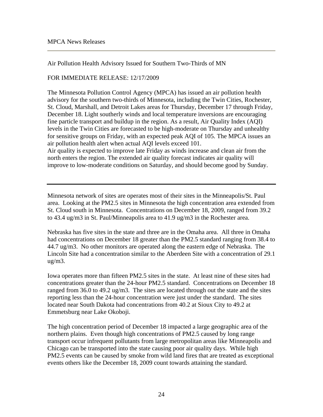Air Pollution Health Advisory Issued for Southern Two-Thirds of MN

### FOR IMMEDIATE RELEASE: 12/17/2009

The Minnesota Pollution Control Agency (MPCA) has issued an air pollution health advisory for the southern two-thirds of Minnesota, including the Twin Cities, Rochester, St. Cloud, Marshall, and Detroit Lakes areas for Thursday, December 17 through Friday, December 18. Light southerly winds and local temperature inversions are encouraging fine particle transport and buildup in the region. As a result, Air Quality Index (AQI) levels in the Twin Cities are forecasted to be high-moderate on Thursday and unhealthy for sensitive groups on Friday, with an expected peak AQI of 105. The MPCA issues an air pollution health alert when actual AQI levels exceed 101. Air quality is expected to improve late Friday as winds increase and clean air from the

north enters the region. The extended air quality forecast indicates air quality will improve to low-moderate conditions on Saturday, and should become good by Sunday.

Minnesota network of sites are operates most of their sites in the Minneapolis/St. Paul area. Looking at the PM2.5 sites in Minnesota the high concentration area extended from St. Cloud south in Minnesota. Concentrations on December 18, 2009, ranged from 39.2 to 43.4 ug/m3 in St. Paul/Minneapolis area to 41.9 ug/m3 in the Rochester area.

Nebraska has five sites in the state and three are in the Omaha area. All three in Omaha had concentrations on December 18 greater than the PM2.5 standard ranging from 38.4 to 44.7 ug/m3. No other monitors are operated along the eastern edge of Nebraska. The Lincoln Site had a concentration similar to the Aberdeen Site with a concentration of 29.1 ug/m3.

Iowa operates more than fifteen PM2.5 sites in the state. At least nine of these sites had concentrations greater than the 24-hour PM2.5 standard. Concentrations on December 18 ranged from 36.0 to 49.2 ug/m3. The sites are located through out the state and the sites reporting less than the 24-hour concentration were just under the standard. The sites located near South Dakota had concentrations from 40.2 at Sioux City to 49.2 at Emmetsburg near Lake Okoboji.

The high concentration period of December 18 impacted a large geographic area of the northern plains. Even though high concentrations of PM2.5 caused by long range transport occur infrequent pollutants from large metropolitan areas like Minneapolis and Chicago can be transported into the state causing poor air quality days. While high PM2.5 events can be caused by smoke from wild land fires that are treated as exceptional events others like the December 18, 2009 count towards attaining the standard.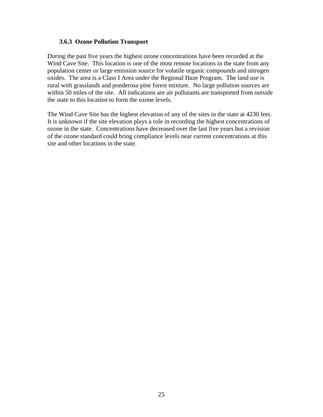#### <span id="page-24-0"></span>**3.6.3 Ozone Pollution Transport**

During the past five years the highest ozone concentrations have been recorded at the Wind Cave Site. This location is one of the most remote locations in the state from any population center or large emission source for volatile organic compounds and nitrogen oxides. The area is a Class I Area under the Regional Haze Program. The land use is rural with grasslands and ponderosa pine forest mixture. No large pollution sources are within 50 miles of the site. All indications are air pollutants are transported from outside the state to this location to form the ozone levels.

The Wind Cave Site has the highest elevation of any of the sites in the state at 4230 feet. It is unknown if the site elevation plays a role in recording the highest concentrations of ozone in the state. Concentrations have decreased over the last five years but a revision of the ozone standard could bring compliance levels near current concentrations at this site and other locations in the state.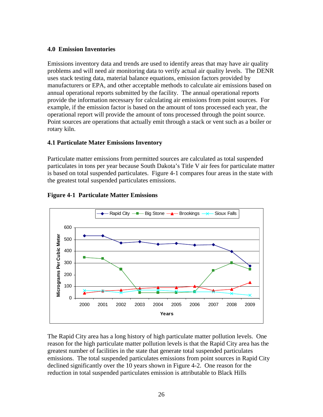### <span id="page-25-0"></span>**4.0 Emission Inventories**

Emissions inventory data and trends are used to identify areas that may have air quality problems and will need air monitoring data to verify actual air quality levels. The DENR uses stack testing data, material balance equations, emission factors provided by manufacturers or EPA, and other acceptable methods to calculate air emissions based on annual operational reports submitted by the facility. The annual operational reports provide the information necessary for calculating air emissions from point sources. For example, if the emission factor is based on the amount of tons processed each year, the operational report will provide the amount of tons processed through the point source. Point sources are operations that actually emit through a stack or vent such as a boiler or rotary kiln.

### **4.1 Particulate Mater Emissions Inventory**

Particulate matter emissions from permitted sources are calculated as total suspended particulates in tons per year because South Dakota's Title V air fees for particulate matter is based on total suspended particulates. Figure 4-1 compares four areas in the state with the greatest total suspended particulates emissions.



### **Figure 4-1 Particulate Matter Emissions**

The Rapid City area has a long history of high particulate matter pollution levels. One reason for the high particulate matter pollution levels is that the Rapid City area has the greatest number of facilities in the state that generate total suspended particulates emissions. The total suspended particulates emissions from point sources in Rapid City declined significantly over the 10 years shown in Figure 4-2. One reason for the reduction in total suspended particulates emission is attributable to Black Hills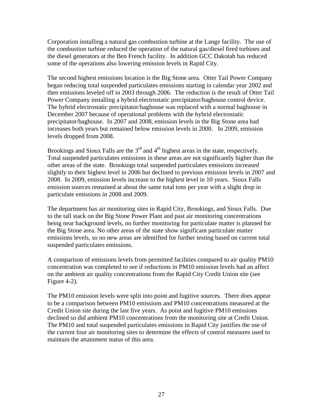Corporation installing a natural gas combustion turbine at the Lange facility. The use of the combustion turbine reduced the operation of the natural gas/diesel fired turbines and the diesel generators at the Ben French facility. In addition GCC Dakotah has reduced some of the operations also lowering emission levels in Rapid City.

The second highest emissions location is the Big Stone area. Otter Tail Power Company began reducing total suspended particulates emissions starting in calendar year 2002 and then emissions leveled off in 2003 through 2006. The reduction is the result of Otter Tail Power Company installing a hybrid electrostatic precipitator/baghouse control device. The hybrid electrostatic precipitator/baghouse was replaced with a normal baghouse in December 2007 because of operational problems with the hybrid electrostatic precipitator/baghouse. In 2007 and 2008, emission levels in the Big Stone area had increases both years but remained below emission levels in 2000. In 2009, emission levels dropped from 2008.

Brookings and Sioux Falls are the  $3<sup>rd</sup>$  and  $4<sup>th</sup>$  highest areas in the state, respectively. Total suspended particulates emissions in these areas are not significantly higher than the other areas of the state. Brookings total suspended particulates emissions increased slightly to their highest level in 2006 but declined to previous emission levels in 2007 and 2008. In 2009, emission levels increase to the highest level in 10 years. Sioux Falls emission sources remained at about the same total tons per year with a slight drop in particulate emissions in 2008 and 2009.

The department has air monitoring sites in Rapid City, Brookings, and Sioux Falls. Due to the tall stack on the Big Stone Power Plant and past air monitoring concentrations being near background levels, no further monitoring for particulate matter is planned for the Big Stone area. No other areas of the state show significant particulate matter emissions levels, so no new areas are identified for further testing based on current total suspended particulates emissions.

A comparison of emissions levels from permitted facilities compared to air quality PM10 concentration was completed to see if reductions in PM10 emission levels had an affect on the ambient air quality concentrations from the Rapid City Credit Union site (see Figure 4-2).

The PM10 emission levels were split into point and fugitive sources. There does appear to be a comparison between PM10 emissions and PM10 concentrations measured at the Credit Union site during the last five years. As point and fugitive PM10 emissions declined so did ambient PM10 concentrations from the monitoring site at Credit Union. The PM10 and total suspended particulates emissions in Rapid City justifies the use of the current four air monitoring sites to determine the effects of control measures used to maintain the attainment status of this area.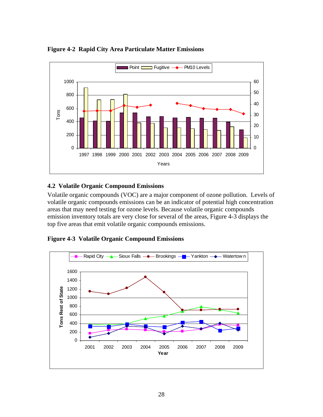

<span id="page-27-0"></span>**Figure 4-2 Rapid City Area Particulate Matter Emissions** 

### **4.2 Volatile Organic Compound Emissions**

Volatile organic compounds (VOC) are a major component of ozone pollution. Levels of volatile organic compounds emissions can be an indicator of potential high concentration areas that may need testing for ozone levels. Because volatile organic compounds emission inventory totals are very close for several of the areas, Figure 4-3 displays the top five areas that emit volatile organic compounds emissions.



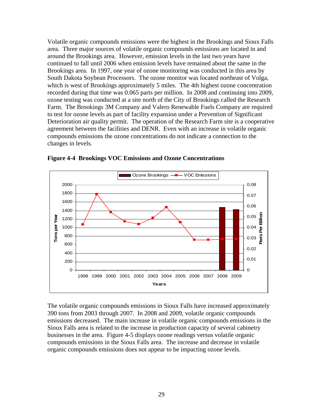<span id="page-28-0"></span>Volatile organic compounds emissions were the highest in the Brookings and Sioux Falls area. Three major sources of volatile organic compounds emissions are located in and around the Brookings area. However, emission levels in the last two years have continued to fall until 2006 when emission levels have remained about the same in the Brookings area. In 1997, one year of ozone monitoring was conducted in this area by South Dakota Soybean Processors. The ozone monitor was located northeast of Volga, which is west of Brookings approximately 5 miles. The 4th highest ozone concentration recorded during that time was 0.065 parts per million. In 2008 and continuing into 2009, ozone testing was conducted at a site north of the City of Brookings called the Research Farm. The Brookings 3M Company and Valero Renewable Fuels Company are required to test for ozone levels as part of facility expansion under a Prevention of Significant Deterioration air quality permit. The operation of the Research Farm site is a cooperative agreement between the facilities and DENR. Even with an increase in volatile organic compounds emissions the ozone concentrations do not indicate a connection to the changes in levels.



**Figure 4-4 Brookings VOC Emissions and Ozone Concentrations** 

The volatile organic compounds emissions in Sioux Falls have increased approximately 390 tons from 2003 through 2007. In 2008 and 2009, volatile organic compounds emissions decreased. The main increase in volatile organic compounds emissions in the Sioux Falls area is related to the increase in production capacity of several cabinetry businesses in the area. Figure 4-5 displays ozone readings versus volatile organic compounds emissions in the Sioux Falls area. The increase and decrease in volatile organic compounds emissions does not appear to be impacting ozone levels.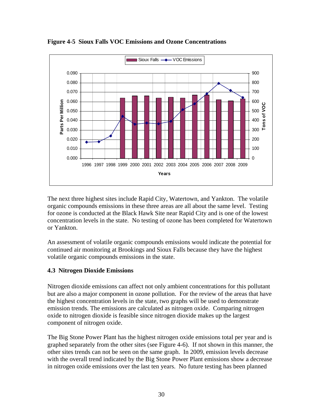

<span id="page-29-0"></span>**Figure 4-5 Sioux Falls VOC Emissions and Ozone Concentrations** 

The next three highest sites include Rapid City, Watertown, and Yankton. The volatile organic compounds emissions in these three areas are all about the same level. Testing for ozone is conducted at the Black Hawk Site near Rapid City and is one of the lowest concentration levels in the state. No testing of ozone has been completed for Watertown or Yankton.

An assessment of volatile organic compounds emissions would indicate the potential for continued air monitoring at Brookings and Sioux Falls because they have the highest volatile organic compounds emissions in the state.

### **4.3 Nitrogen Dioxide Emissions**

Nitrogen dioxide emissions can affect not only ambient concentrations for this pollutant but are also a major component in ozone pollution. For the review of the areas that have the highest concentration levels in the state, two graphs will be used to demonstrate emission trends. The emissions are calculated as nitrogen oxide. Comparing nitrogen oxide to nitrogen dioxide is feasible since nitrogen dioxide makes up the largest component of nitrogen oxide.

The Big Stone Power Plant has the highest nitrogen oxide emissions total per year and is graphed separately from the other sites (see Figure 4-6). If not shown in this manner, the other sites trends can not be seen on the same graph. In 2009, emission levels decrease with the overall trend indicated by the Big Stone Power Plant emissions show a decrease in nitrogen oxide emissions over the last ten years. No future testing has been planned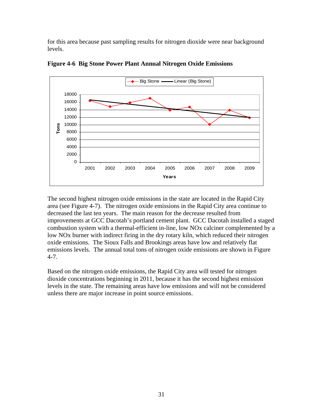<span id="page-30-0"></span>for this area because past sampling results for nitrogen dioxide were near background levels.



**Figure 4-6 Big Stone Power Plant Annual Nitrogen Oxide Emissions** 

The second highest nitrogen oxide emissions in the state are located in the Rapid City area (see Figure 4-7). The nitrogen oxide emissions in the Rapid City area continue to decreased the last ten years. The main reason for the decrease resulted from improvements at GCC Dacotah's portland cement plant. GCC Dacotah installed a staged combustion system with a thermal-efficient in-line, low NOx calciner complemented by a low NOx burner with indirect firing in the dry rotary kiln, which reduced their nitrogen oxide emissions. The Sioux Falls and Brookings areas have low and relatively flat emissions levels. The annual total tons of nitrogen oxide emissions are shown in Figure 4-7.

Based on the nitrogen oxide emissions, the Rapid City area will tested for nitrogen dioxide concentrations beginning in 2011, because it has the second highest emission levels in the state. The remaining areas have low emissions and will not be considered unless there are major increase in point source emissions.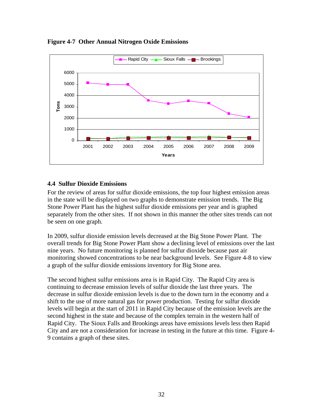

<span id="page-31-0"></span>**Figure 4-7 Other Annual Nitrogen Oxide Emissions** 

### **4.4 Sulfur Dioxide Emissions**

For the review of areas for sulfur dioxide emissions, the top four highest emission areas in the state will be displayed on two graphs to demonstrate emission trends. The Big Stone Power Plant has the highest sulfur dioxide emissions per year and is graphed separately from the other sites. If not shown in this manner the other sites trends can not be seen on one graph.

In 2009, sulfur dioxide emission levels decreased at the Big Stone Power Plant. The overall trends for Big Stone Power Plant show a declining level of emissions over the last nine years. No future monitoring is planned for sulfur dioxide because past air monitoring showed concentrations to be near background levels. See Figure 4-8 to view a graph of the sulfur dioxide emissions inventory for Big Stone area.

The second highest sulfur emissions area is in Rapid City. The Rapid City area is continuing to decrease emission levels of sulfur dioxide the last three years. The decrease in sulfur dioxide emission levels is due to the down turn in the economy and a shift to the use of more natural gas for power production. Testing for sulfur dioxide levels will begin at the start of 2011 in Rapid City because of the emission levels are the second highest in the state and because of the complex terrain in the western half of Rapid City. The Sioux Falls and Brookings areas have emissions levels less then Rapid City and are not a consideration for increase in testing in the future at this time. Figure 4- 9 contains a graph of these sites.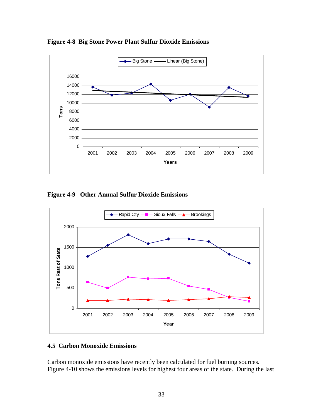

<span id="page-32-0"></span>**Figure 4-8 Big Stone Power Plant Sulfur Dioxide Emissions** 

**Figure 4-9 Other Annual Sulfur Dioxide Emissions** 



### **4.5 Carbon Monoxide Emissions**

Carbon monoxide emissions have recently been calculated for fuel burning sources. Figure 4-10 shows the emissions levels for highest four areas of the state. During the last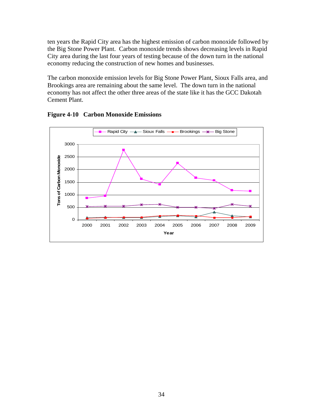<span id="page-33-0"></span>ten years the Rapid City area has the highest emission of carbon monoxide followed by the Big Stone Power Plant. Carbon monoxide trends shows decreasing levels in Rapid City area during the last four years of testing because of the down turn in the national economy reducing the construction of new homes and businesses.

The carbon monoxide emission levels for Big Stone Power Plant, Sioux Falls area, and Brookings area are remaining about the same level. The down turn in the national economy has not affect the other three areas of the state like it has the GCC Dakotah Cement Plant.



**Figure 4-10 Carbon Monoxide Emissions**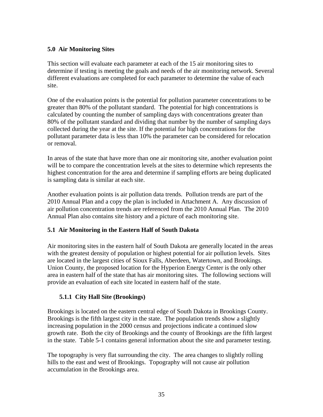# <span id="page-34-0"></span>**5.0 Air Monitoring Sites**

This section will evaluate each parameter at each of the 15 air monitoring sites to determine if testing is meeting the goals and needs of the air monitoring network. Several different evaluations are completed for each parameter to determine the value of each site.

One of the evaluation points is the potential for pollution parameter concentrations to be greater than 80% of the pollutant standard. The potential for high concentrations is calculated by counting the number of sampling days with concentrations greater than 80% of the pollutant standard and dividing that number by the number of sampling days collected during the year at the site. If the potential for high concentrations for the pollutant parameter data is less than 10% the parameter can be considered for relocation or removal.

In areas of the state that have more than one air monitoring site, another evaluation point will be to compare the concentration levels at the sites to determine which represents the highest concentration for the area and determine if sampling efforts are being duplicated is sampling data is similar at each site.

Another evaluation points is air pollution data trends. Pollution trends are part of the 2010 Annual Plan and a copy the plan is included in Attachment A. Any discussion of air pollution concentration trends are referenced from the 2010 Annual Plan. The 2010 Annual Plan also contains site history and a picture of each monitoring site.

### **5.1 Air Monitoring in the Eastern Half of South Dakota**

Air monitoring sites in the eastern half of South Dakota are generally located in the areas with the greatest density of population or highest potential for air pollution levels. Sites are located in the largest cities of Sioux Falls, Aberdeen, Watertown, and Brookings. Union County, the proposed location for the Hyperion Energy Center is the only other area in eastern half of the state that has air monitoring sites. The following sections will provide an evaluation of each site located in eastern half of the state.

# **5.1.1 City Hall Site (Brookings)**

Brookings is located on the eastern central edge of South Dakota in Brookings County. Brookings is the fifth largest city in the state. The population trends show a slightly increasing population in the 2000 census and projections indicate a continued slow growth rate. Both the city of Brookings and the county of Brookings are the fifth largest in the state. Table 5-1 contains general information about the site and parameter testing.

The topography is very flat surrounding the city. The area changes to slightly rolling hills to the east and west of Brookings. Topography will not cause air pollution accumulation in the Brookings area.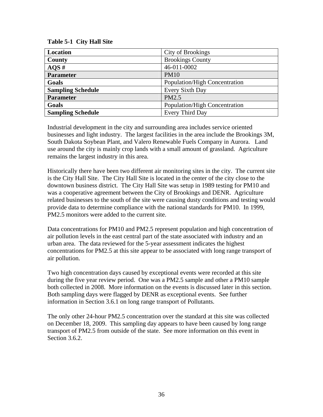<span id="page-35-0"></span>**Table 5-1 City Hall Site** 

| <b>Location</b>          | City of Brookings             |
|--------------------------|-------------------------------|
| County                   | <b>Brookings County</b>       |
| AOS#                     | 46-011-0002                   |
| <b>Parameter</b>         | <b>PM10</b>                   |
| Goals                    | Population/High Concentration |
| <b>Sampling Schedule</b> | Every Sixth Day               |
| <b>Parameter</b>         | PM2.5                         |
| Goals                    | Population/High Concentration |
| <b>Sampling Schedule</b> | <b>Every Third Day</b>        |

Industrial development in the city and surrounding area includes service oriented businesses and light industry. The largest facilities in the area include the Brookings 3M, South Dakota Soybean Plant, and Valero Renewable Fuels Company in Aurora. Land use around the city is mainly crop lands with a small amount of grassland. Agriculture remains the largest industry in this area.

Historically there have been two different air monitoring sites in the city. The current site is the City Hall Site. The City Hall Site is located in the center of the city close to the downtown business district. The City Hall Site was setup in 1989 testing for PM10 and was a cooperative agreement between the City of Brookings and DENR. Agriculture related businesses to the south of the site were causing dusty conditions and testing would provide data to determine compliance with the national standards for PM10. In 1999, PM2.5 monitors were added to the current site.

Data concentrations for PM10 and PM2.5 represent population and high concentration of air pollution levels in the east central part of the state associated with industry and an urban area. The data reviewed for the 5-year assessment indicates the highest concentrations for PM2.5 at this site appear to be associated with long range transport of air pollution.

Two high concentration days caused by exceptional events were recorded at this site during the five year review period. One was a PM2.5 sample and other a PM10 sample both collected in 2008. More information on the events is discussed later in this section. Both sampling days were flagged by DENR as exceptional events. See further information in Section 3.6.1 on long range transport of Pollutants.

The only other 24-hour PM2.5 concentration over the standard at this site was collected on December 18, 2009. This sampling day appears to have been caused by long range transport of PM2.5 from outside of the state. See more information on this event in Section 3.6.2.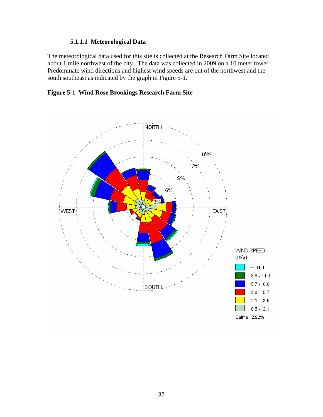# **5.1.1.1 Meteorological Data**

The meteorological data used for this site is collected at the Research Farm Site located about 1 mile northwest of the city. The data was collected in 2009 on a 10 meter tower. Predominate wind directions and highest wind speeds are out of the northwest and the south southeast as indicated by the graph in Figure 5-1.

# **Figure 5-1 Wind Rose Brookings Research Farm Site**

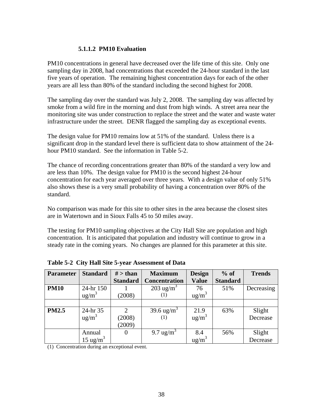### **5.1.1.2 PM10 Evaluation**

PM10 concentrations in general have decreased over the life time of this site. Only one sampling day in 2008, had concentrations that exceeded the 24-hour standard in the last five years of operation. The remaining highest concentration days for each of the other years are all less than 80% of the standard including the second highest for 2008.

The sampling day over the standard was July 2, 2008. The sampling day was affected by smoke from a wild fire in the morning and dust from high winds. A street area near the monitoring site was under construction to replace the street and the water and waste water infrastructure under the street. DENR flagged the sampling day as exceptional events.

The design value for PM10 remains low at 51% of the standard. Unless there is a significant drop in the standard level there is sufficient data to show attainment of the 24 hour PM10 standard. See the information in Table 5-2.

The chance of recording concentrations greater than 80% of the standard a very low and are less than 10%. The design value for PM10 is the second highest 24-hour concentration for each year averaged over three years. With a design value of only 51% also shows these is a very small probability of having a concentration over 80% of the standard.

No comparison was made for this site to other sites in the area because the closest sites are in Watertown and in Sioux Falls 45 to 50 miles away.

The testing for PM10 sampling objectives at the City Hall Site are population and high concentration. It is anticipated that population and industry will continue to grow in a steady rate in the coming years. No changes are planned for this parameter at this site.

| <b>Parameter</b> | <b>Standard</b>      | $#$ > than      | <b>Maximum</b>        | <b>Design</b>   | $%$ of          | <b>Trends</b> |
|------------------|----------------------|-----------------|-----------------------|-----------------|-----------------|---------------|
|                  |                      | <b>Standard</b> | <b>Concentration</b>  | <b>Value</b>    | <b>Standard</b> |               |
| <b>PM10</b>      | 24-hr 150            |                 | $203 \text{ ug/m}^3$  | 76              | 51%             | Decreasing    |
|                  | $ug/m^3$             | (2008)          | $\left(1\right)$      | $\text{ug/m}^3$ |                 |               |
|                  |                      |                 |                       |                 |                 |               |
| <b>PM2.5</b>     | 24-hr 35             | 2               | 39.6 $\text{ug/m}^3$  | 21.9            | 63%             | Slight        |
|                  | $\text{ug/m}^3$      | (2008)          | (1)                   | $ug/m^3$        |                 | Decrease      |
|                  |                      | (2009)          |                       |                 |                 |               |
|                  | Annual               | $\theta$        | 9.7 ug/m <sup>3</sup> | 8.4             | 56%             | Slight        |
|                  | 15 ug/m <sup>3</sup> |                 |                       | $\text{ug/m}^3$ |                 | Decrease      |

**Table 5-2 City Hall Site 5-year Assessment of Data** 

(1) Concentration during an exceptional event.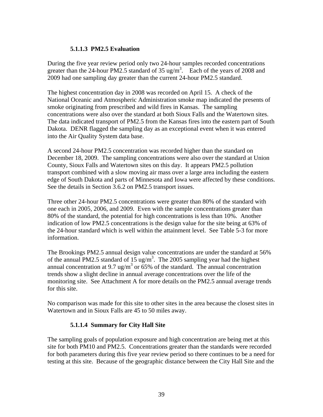### **5.1.1.3 PM2.5 Evaluation**

During the five year review period only two 24-hour samples recorded concentrations greater than the 24-hour PM2.5 standard of 35 ug/m<sup>3</sup>. Each of the years of 2008 and 2009 had one sampling day greater than the current 24-hour PM2.5 standard.

The highest concentration day in 2008 was recorded on April 15. A check of the National Oceanic and Atmospheric Administration smoke map indicated the presents of smoke originating from prescribed and wild fires in Kansas. The sampling concentrations were also over the standard at both Sioux Falls and the Watertown sites. The data indicated transport of PM2.5 from the Kansas fires into the eastern part of South Dakota. DENR flagged the sampling day as an exceptional event when it was entered into the Air Quality System data base.

A second 24-hour PM2.5 concentration was recorded higher than the standard on December 18, 2009. The sampling concentrations were also over the standard at Union County, Sioux Falls and Watertown sites on this day. It appears PM2.5 pollution transport combined with a slow moving air mass over a large area including the eastern edge of South Dakota and parts of Minnesota and Iowa were affected by these conditions. See the details in Section 3.6.2 on PM2.5 transport issues.

Three other 24-hour PM2.5 concentrations were greater than 80% of the standard with one each in 2005, 2006, and 2009. Even with the sample concentrations greater than 80% of the standard, the potential for high concentrations is less than 10%. Another indication of low PM2.5 concentrations is the design value for the site being at 63% of the 24-hour standard which is well within the attainment level. See Table 5-3 for more information.

The Brookings PM2.5 annual design value concentrations are under the standard at 56% of the annual PM2.5 standard of  $15 \text{ ug/m}^3$ . The 2005 sampling year had the highest annual concentration at 9.7 ug/m<sup>3</sup> or  $65\%$  of the standard. The annual concentration trends show a slight decline in annual average concentrations over the life of the monitoring site. See Attachment A for more details on the PM2.5 annual average trends for this site.

No comparison was made for this site to other sites in the area because the closest sites in Watertown and in Sioux Falls are 45 to 50 miles away.

# **5.1.1.4 Summary for City Hall Site**

The sampling goals of population exposure and high concentration are being met at this site for both PM10 and PM2.5. Concentrations greater than the standards were recorded for both parameters during this five year review period so there continues to be a need for testing at this site. Because of the geographic distance between the City Hall Site and the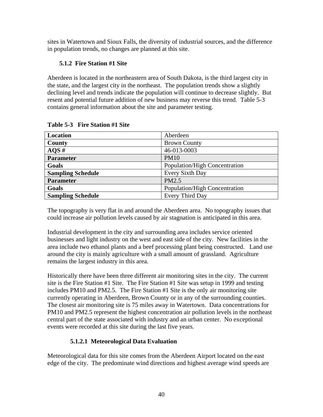sites in Watertown and Sioux Falls, the diversity of industrial sources, and the difference in population trends, no changes are planned at this site.

# **5.1.2 Fire Station #1 Site**

Aberdeen is located in the northeastern area of South Dakota, is the third largest city in the state, and the largest city in the northeast. The population trends show a slightly declining level and trends indicate the population will continue to decrease slightly. But resent and potential future addition of new business may reverse this trend. Table 5-3 contains general information about the site and parameter testing.

| Location                 | Aberdeen                      |
|--------------------------|-------------------------------|
| County                   | <b>Brown County</b>           |
| AOS#                     | 46-013-0003                   |
| <b>Parameter</b>         | <b>PM10</b>                   |
| Goals                    | Population/High Concentration |
| <b>Sampling Schedule</b> | Every Sixth Day               |
| <b>Parameter</b>         | PM2.5                         |
| Goals                    | Population/High Concentration |
| <b>Sampling Schedule</b> | Every Third Day               |

**Table 5-3 Fire Station #1 Site** 

The topography is very flat in and around the Aberdeen area. No topography issues that could increase air pollution levels caused by air stagnation is anticipated in this area.

Industrial development in the city and surrounding area includes service oriented businesses and light industry on the west and east side of the city. New facilities in the area include two ethanol plants and a beef processing plant being constructed. Land use around the city is mainly agriculture with a small amount of grassland. Agriculture remains the largest industry in this area.

Historically there have been three different air monitoring sites in the city. The current site is the Fire Station #1 Site. The Fire Station #1 Site was setup in 1999 and testing includes PM10 and PM2.5. The Fire Station #1 Site is the only air monitoring site currently operating in Aberdeen, Brown County or in any of the surrounding counties. The closest air monitoring site is 75 miles away in Watertown. Data concentrations for PM10 and PM2.5 represent the highest concentration air pollution levels in the northeast central part of the state associated with industry and an urban center. No exceptional events were recorded at this site during the last five years.

# **5.1.2.1 Meteorological Data Evaluation**

Meteorological data for this site comes from the Aberdeen Airport located on the east edge of the city. The predominate wind directions and highest average wind speeds are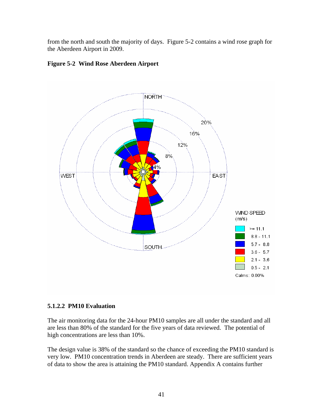from the north and south the majority of days. Figure 5-2 contains a wind rose graph for the Aberdeen Airport in 2009.



# **Figure 5-2 Wind Rose Aberdeen Airport**

# **5.1.2.2 PM10 Evaluation**

The air monitoring data for the 24-hour PM10 samples are all under the standard and all are less than 80% of the standard for the five years of data reviewed. The potential of high concentrations are less than 10%.

The design value is 38% of the standard so the chance of exceeding the PM10 standard is very low. PM10 concentration trends in Aberdeen are steady. There are sufficient years of data to show the area is attaining the PM10 standard. Appendix A contains further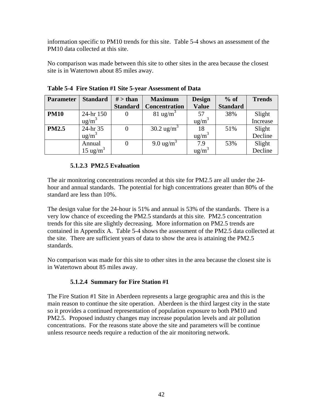information specific to PM10 trends for this site. Table 5-4 shows an assessment of the PM10 data collected at this site.

No comparison was made between this site to other sites in the area because the closest site is in Watertown about 85 miles away.

| <b>Parameter</b> | <b>Standard</b>      | $#$ > than      | <b>Maximum</b>        | <b>Design</b>     | $%$ of          | <b>Trends</b>     |
|------------------|----------------------|-----------------|-----------------------|-------------------|-----------------|-------------------|
|                  |                      | <b>Standard</b> | <b>Concentration</b>  | <b>Value</b>      | <b>Standard</b> |                   |
| <b>PM10</b>      | 24-hr 150            |                 | $81 \text{ ug/m}^3$   | 57                | 38%             | Slight            |
|                  | $\text{ug/m}^3$      |                 |                       | ug/m <sup>3</sup> |                 | Increase          |
| <b>PM2.5</b>     | 24-hr 35             |                 | $30.2 \text{ ug/m}^3$ | 18                | 51%             | Slight            |
|                  | $\frac{u g}{m^3}$    |                 |                       | $\text{ug/m}^3$   |                 | Decline           |
|                  | Annual               |                 | 9.0 ug/m <sup>3</sup> | 7.9               | 53%             | Slight<br>Decline |
|                  | 15 ug/m <sup>3</sup> |                 |                       | $\text{ug/m}^3$   |                 |                   |

**Table 5-4 Fire Station #1 Site 5-year Assessment of Data** 

# **5.1.2.3 PM2.5 Evaluation**

The air monitoring concentrations recorded at this site for PM2.5 are all under the 24 hour and annual standards. The potential for high concentrations greater than 80% of the standard are less than 10%.

The design value for the 24-hour is 51% and annual is 53% of the standards. There is a very low chance of exceeding the PM2.5 standards at this site. PM2.5 concentration trends for this site are slightly decreasing. More information on PM2.5 trends are contained in Appendix A. Table 5-4 shows the assessment of the PM2.5 data collected at the site. There are sufficient years of data to show the area is attaining the PM2.5 standards.

No comparison was made for this site to other sites in the area because the closest site is in Watertown about 85 miles away.

# **5.1.2.4 Summary for Fire Station #1**

The Fire Station #1 Site in Aberdeen represents a large geographic area and this is the main reason to continue the site operation. Aberdeen is the third largest city in the state so it provides a continued representation of population exposure to both PM10 and PM2.5. Proposed industry changes may increase population levels and air pollution concentrations. For the reasons state above the site and parameters will be continue unless resource needs require a reduction of the air monitoring network.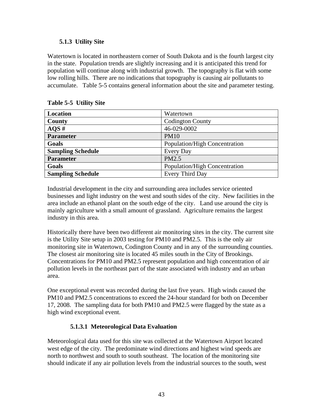# **5.1.3 Utility Site**

Watertown is located in northeastern corner of South Dakota and is the fourth largest city in the state. Population trends are slightly increasing and it is anticipated this trend for population will continue along with industrial growth. The topography is flat with some low rolling hills. There are no indications that topography is causing air pollutants to accumulate. Table 5-5 contains general information about the site and parameter testing.

| <b>Location</b>          | Watertown                     |
|--------------------------|-------------------------------|
| County                   | <b>Codington County</b>       |
| AOS#                     | 46-029-0002                   |
| <b>Parameter</b>         | <b>PM10</b>                   |
| Goals                    | Population/High Concentration |
| <b>Sampling Schedule</b> | Every Day                     |
| <b>Parameter</b>         | PM2.5                         |
| Goals                    | Population/High Concentration |
| <b>Sampling Schedule</b> | Every Third Day               |

# **Table 5-5 Utility Site**

Industrial development in the city and surrounding area includes service oriented businesses and light industry on the west and south sides of the city. New facilities in the area include an ethanol plant on the south edge of the city. Land use around the city is mainly agriculture with a small amount of grassland. Agriculture remains the largest industry in this area.

Historically there have been two different air monitoring sites in the city. The current site is the Utility Site setup in 2003 testing for PM10 and PM2.5. This is the only air monitoring site in Watertown, Codington County and in any of the surrounding counties. The closest air monitoring site is located 45 miles south in the City of Brookings. Concentrations for PM10 and PM2.5 represent population and high concentration of air pollution levels in the northeast part of the state associated with industry and an urban area.

One exceptional event was recorded during the last five years. High winds caused the PM10 and PM2.5 concentrations to exceed the 24-hour standard for both on December 17, 2008. The sampling data for both PM10 and PM2.5 were flagged by the state as a high wind exceptional event.

# **5.1.3.1 Meteorological Data Evaluation**

Meteorological data used for this site was collected at the Watertown Airport located west edge of the city. The predominate wind directions and highest wind speeds are north to northwest and south to south southeast. The location of the monitoring site should indicate if any air pollution levels from the industrial sources to the south, west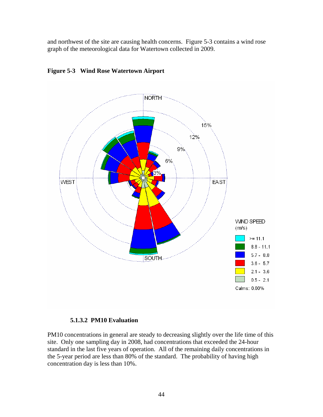and northwest of the site are causing health concerns. Figure 5-3 contains a wind rose graph of the meteorological data for Watertown collected in 2009.



**Figure 5-3 Wind Rose Watertown Airport** 

#### **5.1.3.2 PM10 Evaluation**

PM10 concentrations in general are steady to decreasing slightly over the life time of this site. Only one sampling day in 2008, had concentrations that exceeded the 24-hour standard in the last five years of operation. All of the remaining daily concentrations in the 5-year period are less than 80% of the standard. The probability of having high concentration day is less than 10%.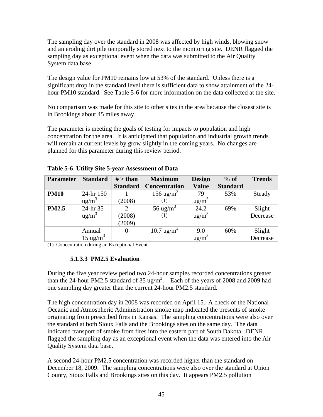The sampling day over the standard in 2008 was affected by high winds, blowing snow and an eroding dirt pile temporally stored next to the monitoring site. DENR flagged the sampling day as exceptional event when the data was submitted to the Air Quality System data base.

The design value for PM10 remains low at 53% of the standard. Unless there is a significant drop in the standard level there is sufficient data to show attainment of the 24 hour PM10 standard. See Table 5-6 for more information on the data collected at the site.

No comparison was made for this site to other sites in the area because the closest site is in Brookings about 45 miles away.

The parameter is meeting the goals of testing for impacts to population and high concentration for the area. It is anticipated that population and industrial growth trends will remain at current levels by grow slightly in the coming years. No changes are planned for this parameter during this review period.

| <b>Parameter</b> | <b>Standard</b>      | $#$ > than      | <b>Maximum</b>         | <b>Design</b>     | $%$ of          | <b>Trends</b> |
|------------------|----------------------|-----------------|------------------------|-------------------|-----------------|---------------|
|                  |                      | <b>Standard</b> | <b>Concentration</b>   | <b>Value</b>      | <b>Standard</b> |               |
| <b>PM10</b>      | 24-hr 150            |                 | 156 ug/m <sup>3</sup>  | 79                | 53%             | Steady        |
|                  | $\text{ug/m}^3$      | (2008)          | $\scriptstyle{(1)}$    | $ug/m^3$          |                 |               |
| <b>PM2.5</b>     | 24-hr 35             | 2               | 56 ug/m <sup>3</sup>   | 24.2              | 69%             | Slight        |
|                  | ug/m <sup>3</sup>    | (2008)          | (1)                    | ug/m <sup>3</sup> |                 | Decrease      |
|                  |                      | (2009)          |                        |                   |                 |               |
|                  | Annual               | 0               | 10.7 ug/m <sup>3</sup> | 9.0               | 60%             | Slight        |
|                  | 15 ug/m <sup>3</sup> |                 |                        | ug/m <sup>3</sup> |                 | Decrease      |

**Table 5-6 Utility Site 5-year Assessment of Data** 

(1) Concentration during an Exceptional Event

# **5.1.3.3 PM2.5 Evaluation**

During the five year review period two 24-hour samples recorded concentrations greater than the 24-hour PM2.5 standard of 35 ug/m<sup>3</sup>. Each of the years of 2008 and 2009 had one sampling day greater than the current 24-hour PM2.5 standard.

The high concentration day in 2008 was recorded on April 15. A check of the National Oceanic and Atmospheric Administration smoke map indicated the presents of smoke originating from prescribed fires in Kansas. The sampling concentrations were also over the standard at both Sioux Falls and the Brookings sites on the same day. The data indicated transport of smoke from fires into the eastern part of South Dakota. DENR flagged the sampling day as an exceptional event when the data was entered into the Air Quality System data base.

A second 24-hour PM2.5 concentration was recorded higher than the standard on December 18, 2009. The sampling concentrations were also over the standard at Union County, Sioux Falls and Brookings sites on this day. It appears PM2.5 pollution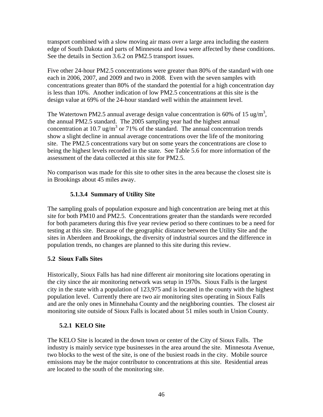transport combined with a slow moving air mass over a large area including the eastern edge of South Dakota and parts of Minnesota and Iowa were affected by these conditions. See the details in Section 3.6.2 on PM2.5 transport issues.

Five other 24-hour PM2.5 concentrations were greater than 80% of the standard with one each in 2006, 2007, and 2009 and two in 2008. Even with the seven samples with concentrations greater than 80% of the standard the potential for a high concentration day is less than 10%. Another indication of low PM2.5 concentrations at this site is the design value at 69% of the 24-hour standard well within the attainment level.

The Watertown PM2.5 annual average design value concentration is 60% of 15 ug/m<sup>3</sup>, the annual PM2.5 standard. The 2005 sampling year had the highest annual concentration at 10.7 ug/m<sup>3</sup> or 71% of the standard. The annual concentration trends show a slight decline in annual average concentrations over the life of the monitoring site. The PM2.5 concentrations vary but on some years the concentrations are close to being the highest levels recorded in the state. See Table 5.6 for more information of the assessment of the data collected at this site for PM2.5.

No comparison was made for this site to other sites in the area because the closest site is in Brookings about 45 miles away.

# **5.1.3.4 Summary of Utility Site**

The sampling goals of population exposure and high concentration are being met at this site for both PM10 and PM2.5. Concentrations greater than the standards were recorded for both parameters during this five year review period so there continues to be a need for testing at this site. Because of the geographic distance between the Utility Site and the sites in Aberdeen and Brookings, the diversity of industrial sources and the difference in population trends, no changes are planned to this site during this review.

# **5.2 Sioux Falls Sites**

Historically, Sioux Falls has had nine different air monitoring site locations operating in the city since the air monitoring network was setup in 1970s. Sioux Falls is the largest city in the state with a population of 123,975 and is located in the county with the highest population level. Currently there are two air monitoring sites operating in Sioux Falls and are the only ones in Minnehaha County and the neighboring counties. The closest air monitoring site outside of Sioux Falls is located about 51 miles south in Union County.

# **5.2.1 KELO Site**

The KELO Site is located in the down town or center of the City of Sioux Falls. The industry is mainly service type businesses in the area around the site. Minnesota Avenue, two blocks to the west of the site, is one of the busiest roads in the city. Mobile source emissions may be the major contributor to concentrations at this site. Residential areas are located to the south of the monitoring site.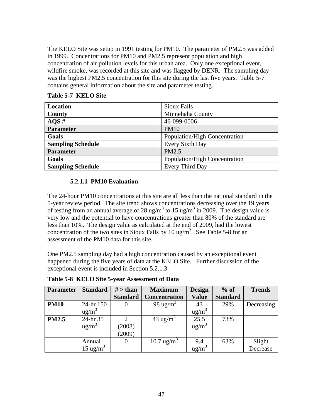The KELO Site was setup in 1991 testing for PM10. The parameter of PM2.5 was added in 1999. Concentrations for PM10 and PM2.5 represent population and high concentration of air pollution levels for this urban area. Only one exceptional event, wildfire smoke, was recorded at this site and was flagged by DENR. The sampling day was the highest PM2.5 concentration for this site during the last five years. Table 5-7 contains general information about the site and parameter testing.

| Location                 | Sioux Falls                   |
|--------------------------|-------------------------------|
| County                   | Minnehaha County              |
| AOS#                     | 46-099-0006                   |
| <b>Parameter</b>         | <b>PM10</b>                   |
| Goals                    | Population/High Concentration |
| <b>Sampling Schedule</b> | Every Sixth Day               |
| <b>Parameter</b>         | PM2.5                         |
| Goals                    | Population/High Concentration |
| <b>Sampling Schedule</b> | <b>Every Third Day</b>        |

**Table 5-7 KELO Site** 

# **5.2.1.1 PM10 Evaluation**

The 24-hour PM10 concentrations at this site are all less than the national standard in the 5-year review period. The site trend shows concentrations decreasing over the 19 years of testing from an annual average of 28 ug/m<sup>3</sup> to 15 ug/m<sup>3</sup> in 2009. The design value is very low and the potential to have concentrations greater than 80% of the standard are less than 10%. The design value as calculated at the end of 2009, had the lowest concentration of the two sites in Sioux Falls by 10 ug/m<sup>3</sup>. See Table 5-8 for an assessment of the PM10 data for this site.

One PM2.5 sampling day had a high concentration caused by an exceptional event happened during the five years of data at the KELO Site. Further discussion of the exceptional event is included in Section 5.2.1.3.

| <b>Parameter</b> | <b>Standard</b>     | $#$ > than      | <b>Maximum</b>       | <b>Design</b>   | $%$ of          | <b>Trends</b> |
|------------------|---------------------|-----------------|----------------------|-----------------|-----------------|---------------|
|                  |                     | <b>Standard</b> | <b>Concentration</b> | <b>Value</b>    | <b>Standard</b> |               |
| <b>PM10</b>      | 24-hr 150           | 0               | 98 ug/m <sup>3</sup> | 43              | 29%             | Decreasing    |
|                  | $\text{ug/m}^3$     |                 |                      | $ug/m^3$        |                 |               |
| <b>PM2.5</b>     | 24-hr 35            | 2               | 43 ug/m <sup>3</sup> | 25.5            | 73%             |               |
|                  | $\text{ug/m}^3$     | (2008)          |                      | $ug/m^3$        |                 |               |
|                  |                     | (2009)          |                      |                 |                 |               |
|                  | Annual              | 0               | 10.7 $\text{ug/m}^3$ | 9.4             | 63%             | Slight        |
|                  | $15 \text{ ug/m}^3$ |                 |                      | $\text{ug/m}^3$ |                 | Decrease      |

**Table 5-8 KELO Site 5-year Assessment of Data**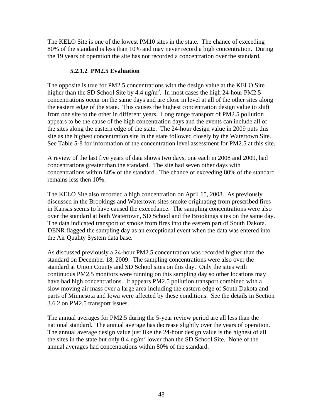The KELO Site is one of the lowest PM10 sites in the state. The chance of exceeding 80% of the standard is less than 10% and may never record a high concentration. During the 19 years of operation the site has not recorded a concentration over the standard.

#### **5.2.1.2 PM2.5 Evaluation**

The opposite is true for PM2.5 concentrations with the design value at the KELO Site higher than the SD School Site by  $4.4 \text{ ug/m}^3$ . In most cases the high 24-hour PM2.5 concentrations occur on the same days and are close in level at all of the other sites along the eastern edge of the state. This causes the highest concentration design value to shift from one site to the other in different years. Long range transport of PM2.5 pollution appears to be the cause of the high concentration days and the events can include all of the sites along the eastern edge of the state. The 24-hour design value in 2009 puts this site as the highest concentration site in the state followed closely by the Watertown Site. See Table 5-8 for information of the concentration level assessment for PM2.5 at this site.

A review of the last five years of data shows two days, one each in 2008 and 2009, had concentrations greater than the standard. The site had seven other days with concentrations within 80% of the standard. The chance of exceeding 80% of the standard remains less then 10%.

The KELO Site also recorded a high concentration on April 15, 2008. As previously discussed in the Brookings and Watertown sites smoke originating from prescribed fires in Kansas seems to have caused the exceedance. The sampling concentrations were also over the standard at both Watertown, SD School and the Brookings sites on the same day. The data indicated transport of smoke from fires into the eastern part of South Dakota. DENR flagged the sampling day as an exceptional event when the data was entered into the Air Quality System data base.

As discussed previously a 24-hour PM2.5 concentration was recorded higher than the standard on December 18, 2009. The sampling concentrations were also over the standard at Union County and SD School sites on this day. Only the sites with continuous PM2.5 monitors were running on this sampling day so other locations may have had high concentrations. It appears PM2.5 pollution transport combined with a slow moving air mass over a large area including the eastern edge of South Dakota and parts of Minnesota and Iowa were affected by these conditions. See the details in Section 3.6.2 on PM2.5 transport issues.

The annual averages for PM2.5 during the 5-year review period are all less than the national standard. The annual average has decrease slightly over the years of operation. The annual average design value just like the 24-hour design value is the highest of all the sites in the state but only  $0.4 \text{ ug/m}^3$  lower than the SD School Site. None of the annual averages had concentrations within 80% of the standard.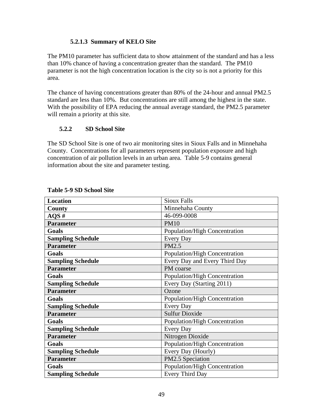# **5.2.1.3 Summary of KELO Site**

The PM10 parameter has sufficient data to show attainment of the standard and has a less than 10% chance of having a concentration greater than the standard. The PM10 parameter is not the high concentration location is the city so is not a priority for this area.

The chance of having concentrations greater than 80% of the 24-hour and annual PM2.5 standard are less than 10%. But concentrations are still among the highest in the state. With the possibility of EPA reducing the annual average standard, the PM2.5 parameter will remain a priority at this site.

#### **5.2.2 SD School Site**

The SD School Site is one of two air monitoring sites in Sioux Falls and in Minnehaha County. Concentrations for all parameters represent population exposure and high concentration of air pollution levels in an urban area. Table 5-9 contains general information about the site and parameter testing.

| Location                 | <b>Sioux Falls</b>            |
|--------------------------|-------------------------------|
| County                   | Minnehaha County              |
| $AQS \#$                 | 46-099-0008                   |
| <b>Parameter</b>         | <b>PM10</b>                   |
| Goals                    | Population/High Concentration |
| <b>Sampling Schedule</b> | Every Day                     |
| <b>Parameter</b>         | PM2.5                         |
| Goals                    | Population/High Concentration |
| <b>Sampling Schedule</b> | Every Day and Every Third Day |
| <b>Parameter</b>         | PM coarse                     |
| Goals                    | Population/High Concentration |
| <b>Sampling Schedule</b> | Every Day (Starting 2011)     |
|                          |                               |
| <b>Parameter</b>         | Ozone                         |
| Goals                    | Population/High Concentration |
| <b>Sampling Schedule</b> | Every Day                     |
| <b>Parameter</b>         | <b>Sulfur Dioxide</b>         |
| Goals                    | Population/High Concentration |
| <b>Sampling Schedule</b> | Every Day                     |
| <b>Parameter</b>         | Nitrogen Dioxide              |
| Goals                    | Population/High Concentration |
| <b>Sampling Schedule</b> | Every Day (Hourly)            |
| <b>Parameter</b>         | PM2.5 Speciation              |
| Goals                    | Population/High Concentration |

#### **Table 5-9 SD School Site**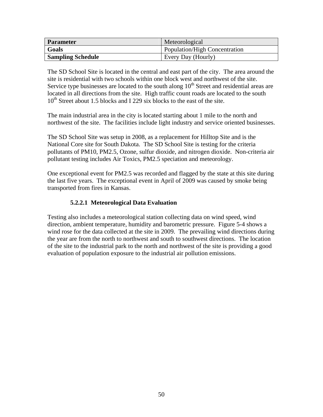| <b>Parameter</b>         | Meteorological                |
|--------------------------|-------------------------------|
| Goals                    | Population/High Concentration |
| <b>Sampling Schedule</b> | Every Day (Hourly)            |

The SD School Site is located in the central and east part of the city. The area around the site is residential with two schools within one block west and northwest of the site. Service type businesses are located to the south along  $10<sup>th</sup>$  Street and residential areas are located in all directions from the site. High traffic count roads are located to the south 10<sup>th</sup> Street about 1.5 blocks and I 229 six blocks to the east of the site.

The main industrial area in the city is located starting about 1 mile to the north and northwest of the site. The facilities include light industry and service oriented businesses.

The SD School Site was setup in 2008, as a replacement for Hilltop Site and is the National Core site for South Dakota. The SD School Site is testing for the criteria pollutants of PM10, PM2.5, Ozone, sulfur dioxide, and nitrogen dioxide. Non-criteria air pollutant testing includes Air Toxics, PM2.5 speciation and meteorology.

One exceptional event for PM2.5 was recorded and flagged by the state at this site during the last five years. The exceptional event in April of 2009 was caused by smoke being transported from fires in Kansas.

# **5.2.2.1 Meteorological Data Evaluation**

Testing also includes a meteorological station collecting data on wind speed, wind direction, ambient temperature, humidity and barometric pressure. Figure 5-4 shows a wind rose for the data collected at the site in 2009. The prevailing wind directions during the year are from the north to northwest and south to southwest directions. The location of the site to the industrial park to the north and northwest of the site is providing a good evaluation of population exposure to the industrial air pollution emissions.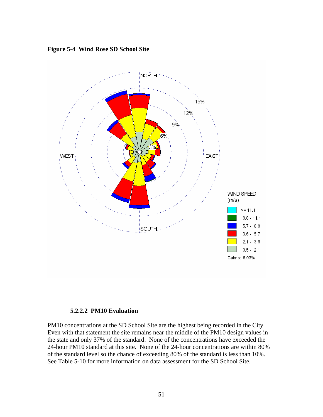**Figure 5-4 Wind Rose SD School Site** 



#### **5.2.2.2 PM10 Evaluation**

PM10 concentrations at the SD School Site are the highest being recorded in the City. Even with that statement the site remains near the middle of the PM10 design values in the state and only 37% of the standard. None of the concentrations have exceeded the 24-hour PM10 standard at this site. None of the 24-hour concentrations are within 80% of the standard level so the chance of exceeding 80% of the standard is less than 10%. See Table 5-10 for more information on data assessment for the SD School Site.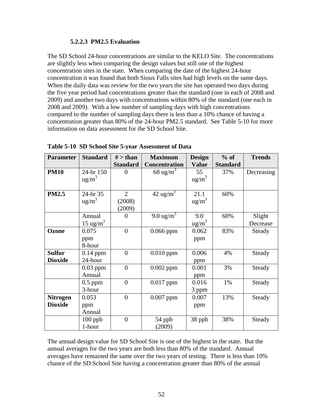#### **5.2.2.3 PM2.5 Evaluation**

The SD School 24-hour concentrations are similar to the KELO Site. The concentrations are slightly less when comparing the design values but still one of the highest concentration sites in the state. When comparing the date of the highest 24-hour concentration it was found that both Sioux Falls sites had high levels on the same days. When the daily data was review for the two years the site has operated two days during the five year period had concentrations greater than the standard (one in each of 2008 and 2009) and another two days with concentrations within 80% of the standard (one each in 2008 and 2009). With a low number of sampling days with high concentrations compared to the number of sampling days there is less than a 10% chance of having a concentration greater than 80% of the 24-hour PM2.5 standard. See Table 5-10 for more information on data assessment for the SD School Site.

| <b>Parameter</b> | <b>Standard</b>      | $#$ > than      | <b>Maximum</b>        | <b>Design</b>    | $%$ of          | <b>Trends</b> |
|------------------|----------------------|-----------------|-----------------------|------------------|-----------------|---------------|
|                  |                      | <b>Standard</b> | <b>Concentration</b>  | <b>Value</b>     | <b>Standard</b> |               |
| <b>PM10</b>      | 24-hr 150            | 0               | 68 ug/m <sup>3</sup>  | 55               | 37%             | Decreasing    |
|                  | $\text{ug/m}^3$      |                 |                       | $\text{ug/m}^3$  |                 |               |
|                  |                      |                 |                       |                  |                 |               |
| <b>PM2.5</b>     | 24-hr 35             | $\overline{2}$  | $42 \text{ ug/m}^3$   | 21.1             | 60%             |               |
|                  | $ug/m^3$             | (2008)          |                       | $ug/m^3$         |                 |               |
|                  |                      | (2009)          |                       |                  |                 |               |
|                  | Annual               | 0               | 9.0 ug/m <sup>3</sup> | 9.0              | 60%             | Slight        |
|                  | 15 ug/m <sup>3</sup> |                 |                       | $\frac{ug}{m^3}$ |                 | Decrease      |
| Ozone            | 0.075                | $\overline{0}$  | $0.066$ ppm           | 0.062            | 83%             | Steady        |
|                  | ppm                  |                 |                       | ppm              |                 |               |
|                  | 8-hour               |                 |                       |                  |                 |               |
| <b>Sulfur</b>    | $0.14$ ppm           | $\overline{0}$  | $0.010$ ppm           | 0.006            | 4%              | Steady        |
| <b>Dioxide</b>   | 24-hour              |                 |                       | ppm              |                 |               |
|                  | $0.03$ ppm           | $\overline{0}$  | $0.002$ ppm           | 0.001            | 3%              | Steady        |
|                  | Annual               |                 |                       | ppm              |                 |               |
|                  | $0.5$ ppm            | $\overline{0}$  | $0.017$ ppm           | 0.016            | 1%              | Steady        |
|                  | 3-hour               |                 |                       | 3 ppm            |                 |               |
| <b>Nitrogen</b>  | 0.053                | $\overline{0}$  | $0.007$ ppm           | 0.007            | 13%             | Steady        |
| <b>Dioxide</b>   | ppm                  |                 |                       | ppm              |                 |               |
|                  | Annual               |                 |                       |                  |                 |               |
|                  | $100$ ppb            | $\overline{0}$  | 54 ppb                | 38 ppb           | 38%             | Steady        |
|                  | 1-hour               |                 | (2009)                |                  |                 |               |

**Table 5-10 SD School Site 5-year Assessment of Data** 

The annual design value for SD School Site is one of the highest in the state. But the annual averages for the two years are both less than 80% of the standard. Annual averages have remained the same over the two years of testing. There is less than 10% chance of the SD School Site having a concentration greater than 80% of the annual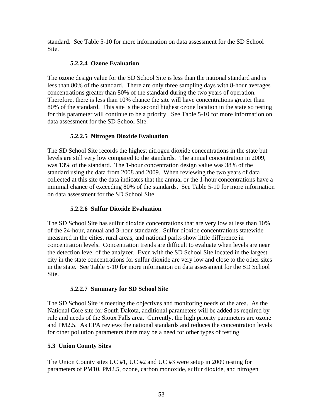standard. See Table 5-10 for more information on data assessment for the SD School Site.

### **5.2.2.4 Ozone Evaluation**

The ozone design value for the SD School Site is less than the national standard and is less than 80% of the standard. There are only three sampling days with 8-hour averages concentrations greater than 80% of the standard during the two years of operation. Therefore, there is less than 10% chance the site will have concentrations greater than 80% of the standard. This site is the second highest ozone location in the state so testing for this parameter will continue to be a priority. See Table 5-10 for more information on data assessment for the SD School Site.

# **5.2.2.5 Nitrogen Dioxide Evaluation**

The SD School Site records the highest nitrogen dioxide concentrations in the state but levels are still very low compared to the standards. The annual concentration in 2009, was 13% of the standard. The 1-hour concentration design value was 38% of the standard using the data from 2008 and 2009. When reviewing the two years of data collected at this site the data indicates that the annual or the 1-hour concentrations have a minimal chance of exceeding 80% of the standards. See Table 5-10 for more information on data assessment for the SD School Site.

# **5.2.2.6 Sulfur Dioxide Evaluation**

The SD School Site has sulfur dioxide concentrations that are very low at less than 10% of the 24-hour, annual and 3-hour standards. Sulfur dioxide concentrations statewide measured in the cities, rural areas, and national parks show little difference in concentration levels. Concentration trends are difficult to evaluate when levels are near the detection level of the analyzer. Even with the SD School Site located in the largest city in the state concentrations for sulfur dioxide are very low and close to the other sites in the state. See Table 5-10 for more information on data assessment for the SD School Site.

# **5.2.2.7 Summary for SD School Site**

The SD School Site is meeting the objectives and monitoring needs of the area. As the National Core site for South Dakota, additional parameters will be added as required by rule and needs of the Sioux Falls area. Currently, the high priority parameters are ozone and PM2.5. As EPA reviews the national standards and reduces the concentration levels for other pollution parameters there may be a need for other types of testing.

# **5.3 Union County Sites**

The Union County sites UC #1, UC #2 and UC #3 were setup in 2009 testing for parameters of PM10, PM2.5, ozone, carbon monoxide, sulfur dioxide, and nitrogen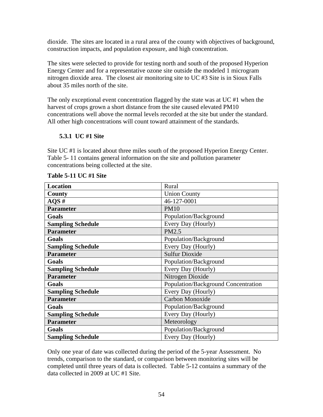dioxide. The sites are located in a rural area of the county with objectives of background, construction impacts, and population exposure, and high concentration.

The sites were selected to provide for testing north and south of the proposed Hyperion Energy Center and for a representative ozone site outside the modeled 1 microgram nitrogen dioxide area. The closest air monitoring site to UC #3 Site is in Sioux Falls about 35 miles north of the site.

The only exceptional event concentration flagged by the state was at UC #1 when the harvest of crops grown a short distance from the site caused elevated PM10 concentrations well above the normal levels recorded at the site but under the standard. All other high concentrations will count toward attainment of the standards.

# **5.3.1 UC #1 Site**

Site UC #1 is located about three miles south of the proposed Hyperion Energy Center. Table 5- 11 contains general information on the site and pollution parameter concentrations being collected at the site.

| Location                 | Rural                               |
|--------------------------|-------------------------------------|
| County                   | <b>Union County</b>                 |
| $AQS$ #                  | 46-127-0001                         |
| <b>Parameter</b>         | <b>PM10</b>                         |
| Goals                    | Population/Background               |
| <b>Sampling Schedule</b> | Every Day (Hourly)                  |
| <b>Parameter</b>         | PM2.5                               |
| Goals                    | Population/Background               |
| <b>Sampling Schedule</b> | Every Day (Hourly)                  |
| <b>Parameter</b>         | <b>Sulfur Dioxide</b>               |
| Goals                    | Population/Background               |
| <b>Sampling Schedule</b> | Every Day (Hourly)                  |
| <b>Parameter</b>         | Nitrogen Dioxide                    |
| Goals                    | Population/Background Concentration |
| <b>Sampling Schedule</b> | Every Day (Hourly)                  |
| <b>Parameter</b>         | Carbon Monoxide                     |
| Goals                    | Population/Background               |
| <b>Sampling Schedule</b> | Every Day (Hourly)                  |
| <b>Parameter</b>         | Meteorology                         |
| Goals                    | Population/Background               |
| <b>Sampling Schedule</b> | Every Day (Hourly)                  |

#### **Table 5-11 UC #1 Site**

Only one year of date was collected during the period of the 5-year Assessment. No trends, comparison to the standard, or comparison between monitoring sites will be completed until three years of data is collected. Table 5-12 contains a summary of the data collected in 2009 at UC #1 Site.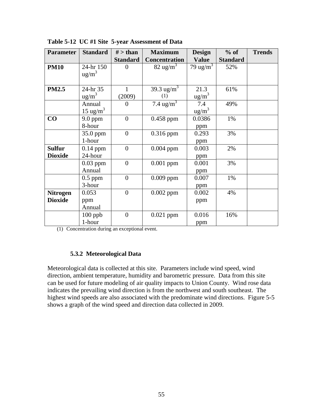| <b>Parameter</b> | <b>Standard</b>     | $#$ > than      | <b>Maximum</b>            | <b>Design</b>        | $%$ of          | <b>Trends</b> |
|------------------|---------------------|-----------------|---------------------------|----------------------|-----------------|---------------|
|                  |                     | <b>Standard</b> | <b>Concentration</b>      | <b>Value</b>         | <b>Standard</b> |               |
| <b>PM10</b>      | 24-hr 150           | $\theta$        | $82 \text{ ug/m}^3$       | 79 ug/m <sup>3</sup> | 52%             |               |
|                  | $\text{ug/m}^3$     |                 |                           |                      |                 |               |
|                  |                     |                 |                           |                      |                 |               |
| <b>PM2.5</b>     | 24-hr 35            | 1               | 39.3 ug/m <sup>3</sup>    | 21.3                 | 61%             |               |
|                  | $ug/m^3$            | (2009)          | (1)                       | ug/m <sup>3</sup>    |                 |               |
|                  | Annual              | $\theta$        | 7.4 $\frac{1}{\text{mg}}$ | 7.4                  | 49%             |               |
|                  | $15 \text{ ug/m}^3$ |                 |                           | $\text{ug/m}^3$      |                 |               |
| CO               | $9.0$ ppm           | $\overline{0}$  | $0.458$ ppm               | 0.0386               | 1%              |               |
|                  | 8-hour              |                 |                           | ppm                  |                 |               |
|                  | 35.0 ppm            | $\overline{0}$  | $0.316$ ppm               | 0.293                | 3%              |               |
|                  | 1-hour              |                 |                           | ppm                  |                 |               |
| <b>Sulfur</b>    | $0.14$ ppm          | $\overline{0}$  | $0.004$ ppm               | 0.003                | 2%              |               |
| <b>Dioxide</b>   | 24-hour             |                 |                           | ppm                  |                 |               |
|                  | $0.03$ ppm          | $\overline{0}$  | $0.001$ ppm               | 0.001                | 3%              |               |
|                  | Annual              |                 |                           | ppm                  |                 |               |
|                  | $0.5$ ppm           | $\overline{0}$  | $0.009$ ppm               | 0.007                | 1%              |               |
|                  | 3-hour              |                 |                           | ppm                  |                 |               |
| <b>Nitrogen</b>  | 0.053               | $\overline{0}$  | $0.002$ ppm               | 0.002                | 4%              |               |
| <b>Dioxide</b>   | ppm                 |                 |                           | ppm                  |                 |               |
|                  | Annual              |                 |                           |                      |                 |               |
|                  | $100$ ppb           | $\overline{0}$  | $0.021$ ppm               | 0.016                | 16%             |               |
|                  | 1-hour              |                 |                           | ppm                  |                 |               |

**Table 5-12 UC #1 Site 5-year Assessment of Data** 

(1) Concentration during an exceptional event.

### **5.3.2 Meteorological Data**

Meteorological data is collected at this site. Parameters include wind speed, wind direction, ambient temperature, humidity and barometric pressure. Data from this site can be used for future modeling of air quality impacts to Union County. Wind rose data indicates the prevailing wind direction is from the northwest and south southeast. The highest wind speeds are also associated with the predominate wind directions. Figure 5-5 shows a graph of the wind speed and direction data collected in 2009.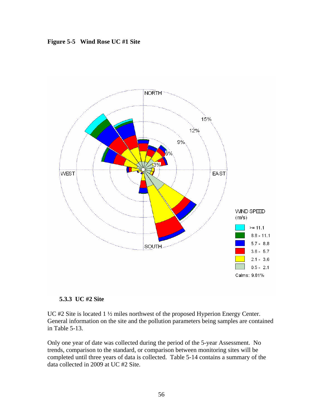**Figure 5-5 Wind Rose UC #1 Site** 



#### **5.3.3 UC #2 Site**

UC #2 Site is located 1 ½ miles northwest of the proposed Hyperion Energy Center. General information on the site and the pollution parameters being samples are contained in Table 5-13.

Only one year of date was collected during the period of the 5-year Assessment. No trends, comparison to the standard, or comparison between monitoring sites will be completed until three years of data is collected. Table 5-14 contains a summary of the data collected in 2009 at UC #2 Site.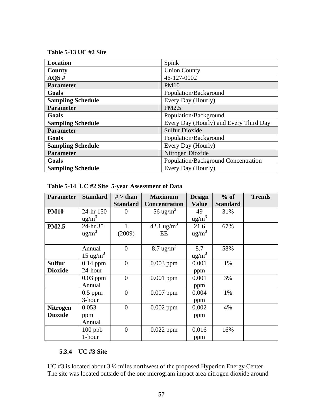**Table 5-13 UC #2 Site** 

| Location                 | Spink                                  |
|--------------------------|----------------------------------------|
| County                   | <b>Union County</b>                    |
| AOS#                     | 46-127-0002                            |
| <b>Parameter</b>         | <b>PM10</b>                            |
| Goals                    | Population/Background                  |
| <b>Sampling Schedule</b> | Every Day (Hourly)                     |
| <b>Parameter</b>         | PM2.5                                  |
| Goals                    | Population/Background                  |
| <b>Sampling Schedule</b> | Every Day (Hourly) and Every Third Day |
| <b>Parameter</b>         | <b>Sulfur Dioxide</b>                  |
| Goals                    | Population/Background                  |
| <b>Sampling Schedule</b> | Every Day (Hourly)                     |
| <b>Parameter</b>         | Nitrogen Dioxide                       |
| Goals                    | Population/Background Concentration    |
| <b>Sampling Schedule</b> | Every Day (Hourly)                     |

| <b>Parameter</b> | <b>Standard</b>      | $#$ > than       | <b>Maximum</b>       | <b>Design</b>     | $%$ of          | <b>Trends</b> |
|------------------|----------------------|------------------|----------------------|-------------------|-----------------|---------------|
|                  |                      | <b>Standard</b>  | <b>Concentration</b> | <b>Value</b>      | <b>Standard</b> |               |
| <b>PM10</b>      | 24-hr 150            | 0                | 56 ug/m <sup>3</sup> | 49                | 31%             |               |
|                  | $\text{ug/m}^3$      |                  |                      | $\frac{ug}{m^3}$  |                 |               |
| <b>PM2.5</b>     | 24-hr 35             |                  | 42.1 $\text{ug/m}^3$ | 21.6              | 67%             |               |
|                  | $\text{ug/m}^3$      | (2009)           | EE                   | $\text{ug/m}^3$   |                 |               |
|                  |                      |                  |                      |                   |                 |               |
|                  | Annual               | $\boldsymbol{0}$ | $8.7 \text{ ug/m}^3$ | 8.7               | 58%             |               |
|                  | 15 ug/m <sup>3</sup> |                  |                      | ug/m <sup>3</sup> |                 |               |
| <b>Sulfur</b>    | $0.14$ ppm           | $\overline{0}$   | $0.003$ ppm          | 0.001             | 1%              |               |
| <b>Dioxide</b>   | 24-hour              |                  |                      | ppm               |                 |               |
|                  | $0.03$ ppm           | $\theta$         | $0.001$ ppm          | 0.001             | 3%              |               |
|                  | Annual               |                  |                      | ppm               |                 |               |
|                  | $0.5$ ppm            | $\overline{0}$   | $0.007$ ppm          | 0.004             | 1%              |               |
|                  | 3-hour               |                  |                      | ppm               |                 |               |
| <b>Nitrogen</b>  | 0.053                | $\overline{0}$   | $0.002$ ppm          | 0.002             | 4%              |               |
| <b>Dioxide</b>   | ppm                  |                  |                      | ppm               |                 |               |
|                  | Annual               |                  |                      |                   |                 |               |
|                  | $100$ ppb            | $\overline{0}$   | $0.022$ ppm          | 0.016             | 16%             |               |
|                  | 1-hour               |                  |                      | ppm               |                 |               |

# **5.3.4 UC #3 Site**

UC #3 is located about 3 ½ miles northwest of the proposed Hyperion Energy Center. The site was located outside of the one microgram impact area nitrogen dioxide around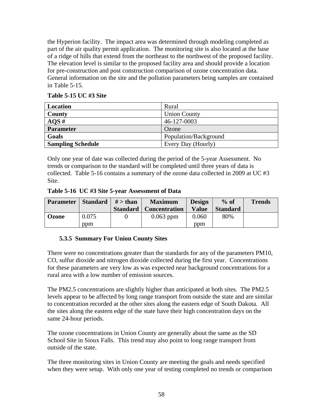the Hyperion facility. The impact area was determined through modeling completed as part of the air quality permit application. The monitoring site is also located at the base of a ridge of hills that extend from the northeast to the northwest of the proposed facility. The elevation level is similar to the proposed facility area and should provide a location for pre-construction and post construction comparison of ozone concentration data. General information on the site and the pollution parameters being samples are contained in Table 5-15.

# **Table 5-15 UC #3 Site**

| Location                 | Rural                 |
|--------------------------|-----------------------|
| County                   | <b>Union County</b>   |
| AOS#                     | 46-127-0003           |
| <b>Parameter</b>         | Ozone                 |
| Goals                    | Population/Background |
| <b>Sampling Schedule</b> | Every Day (Hourly)    |

Only one year of date was collected during the period of the 5-year Assessment. No trends or comparison to the standard will be completed until three years of data is collected. Table 5-16 contains a summary of the ozone data collected in 2009 at UC #3 Site.

**Table 5-16 UC #3 Site 5-year Assessment of Data** 

| <b>Parameter</b> | $\vert$ Standard $\vert \neq$ than | <b>Maximum</b>                  | <b>Design</b> | $%$ of          | <b>Trends</b> |
|------------------|------------------------------------|---------------------------------|---------------|-----------------|---------------|
|                  |                                    | <b>Standard</b>   Concentration | <b>Value</b>  | <b>Standard</b> |               |
| Ozone            | 0.075                              | $0.063$ ppm                     | 0.060         | 80%             |               |
|                  | ppm                                |                                 | ppm           |                 |               |

# **5.3.5 Summary For Union County Sites**

There were no concentrations greater than the standards for any of the parameters PM10, CO, sulfur dioxide and nitrogen dioxide collected during the first year. Concentrations for these parameters are very low as was expected near background concentrations for a rural area with a low number of emission sources.

The PM2.5 concentrations are slightly higher than anticipated at both sites. The PM2.5 levels appear to be affected by long range transport from outside the state and are similar to concentration recorded at the other sites along the eastern edge of South Dakota. All the sites along the eastern edge of the state have their high concentration days on the same 24-hour periods.

The ozone concentrations in Union County are generally about the same as the SD School Site in Sioux Falls. This trend may also point to long range transport from outside of the state.

The three monitoring sites in Union County are meeting the goals and needs specified when they were setup. With only one year of testing completed no trends or comparison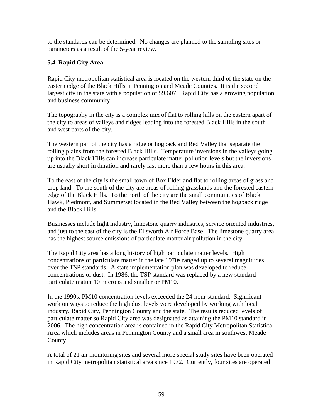to the standards can be determined. No changes are planned to the sampling sites or parameters as a result of the 5-year review.

# **5.4 Rapid City Area**

Rapid City metropolitan statistical area is located on the western third of the state on the eastern edge of the Black Hills in Pennington and Meade Counties. It is the second largest city in the state with a population of 59,607. Rapid City has a growing population and business community.

The topography in the city is a complex mix of flat to rolling hills on the eastern apart of the city to areas of valleys and ridges leading into the forested Black Hills in the south and west parts of the city.

The western part of the city has a ridge or hogback and Red Valley that separate the rolling plains from the forested Black Hills. Temperature inversions in the valleys going up into the Black Hills can increase particulate matter pollution levels but the inversions are usually short in duration and rarely last more than a few hours in this area.

To the east of the city is the small town of Box Elder and flat to rolling areas of grass and crop land. To the south of the city are areas of rolling grasslands and the forested eastern edge of the Black Hills. To the north of the city are the small communities of Black Hawk, Piedmont, and Summerset located in the Red Valley between the hogback ridge and the Black Hills.

Businesses include light industry, limestone quarry industries, service oriented industries, and just to the east of the city is the Ellsworth Air Force Base. The limestone quarry area has the highest source emissions of particulate matter air pollution in the city

The Rapid City area has a long history of high particulate matter levels. High concentrations of particulate matter in the late 1970s ranged up to several magnitudes over the TSP standards. A state implementation plan was developed to reduce concentrations of dust. In 1986, the TSP standard was replaced by a new standard particulate matter 10 microns and smaller or PM10.

In the 1990s, PM10 concentration levels exceeded the 24-hour standard. Significant work on ways to reduce the high dust levels were developed by working with local industry, Rapid City, Pennington County and the state. The results reduced levels of particulate matter so Rapid City area was designated as attaining the PM10 standard in 2006. The high concentration area is contained in the Rapid City Metropolitan Statistical Area which includes areas in Pennington County and a small area in southwest Meade County.

A total of 21 air monitoring sites and several more special study sites have been operated in Rapid City metropolitan statistical area since 1972. Currently, four sites are operated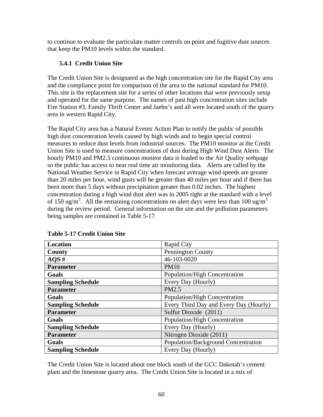to continue to evaluate the particulate matter controls on point and fugitive dust sources that keep the PM10 levels within the standard.

# **5.4.1 Credit Union Site**

The Credit Union Site is designated as the high concentration site for the Rapid City area and the compliance point for comparison of the area to the national standard for PM10. This site is the replacement site for a series of other locations that were previously setup and operated for the same purpose. The names of past high concentration sites include Fire Station #3, Family Thrift Center and Jaehn's and all were located south of the quarry area in western Rapid City.

The Rapid City area has a Natural Events Action Plan to notify the public of possible high dust concentration levels caused by high winds and to begin special control measures to reduce dust levels from industrial sources. The PM10 monitor at the Credit Union Site is used to measure concentrations of dust during High Wind Dust Alerts. The hourly PM10 and PM2.5 continuous monitor data is loaded to the Air Quality webpage so the public has access to near real time air monitoring data. Alerts are called by the National Weather Service in Rapid City when forecast average wind speeds are greater than 20 miles per hour, wind gusts will be greater than 40 miles per hour and if there has been more than 5 days without precipitation greater than 0.02 inches. The highest concentration during a high wind dust alert was in 2005 right at the standard with a level of 150 ug/m<sup>3</sup>. All the remaining concentrations on alert days were less than 100 ug/m<sup>3</sup> during the review period. General information on the site and the pollution parameters being samples are contained in Table 5-17.

| Location                 | Rapid City                             |
|--------------------------|----------------------------------------|
| County                   | <b>Pennington County</b>               |
| AOS#                     | 46-103-0020                            |
| <b>Parameter</b>         | <b>PM10</b>                            |
| Goals                    | Population/High Concentration          |
| <b>Sampling Schedule</b> | Every Day (Hourly)                     |
| <b>Parameter</b>         | PM2.5                                  |
| Goals                    | Population/High Concentration          |
| <b>Sampling Schedule</b> | Every Third Day and Every Day (Hourly) |
| <b>Parameter</b>         | Sulfur Dioxide (2011)                  |
| Goals                    | Population/High Concentration          |
| <b>Sampling Schedule</b> | Every Day (Hourly)                     |
| <b>Parameter</b>         | Nitrogen Dioxide (2011)                |
| Goals                    | Population/Background Concentration    |
| <b>Sampling Schedule</b> | Every Day (Hourly)                     |

**Table 5-17 Credit Union Site** 

The Credit Union Site is located about one block south of the GCC Dakotah's cement plant and the limestone quarry area. The Credit Union Site is located in a mix of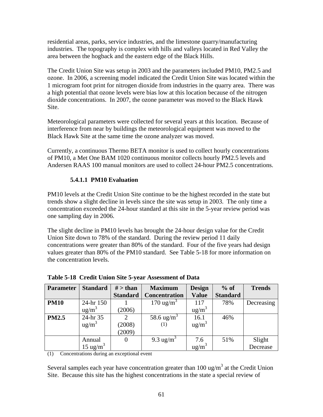residential areas, parks, service industries, and the limestone quarry/manufacturing industries. The topography is complex with hills and valleys located in Red Valley the area between the hogback and the eastern edge of the Black Hills.

The Credit Union Site was setup in 2003 and the parameters included PM10, PM2.5 and ozone. In 2006, a screening model indicated the Credit Union Site was located within the 1 microgram foot print for nitrogen dioxide from industries in the quarry area. There was a high potential that ozone levels were bias low at this location because of the nitrogen dioxide concentrations. In 2007, the ozone parameter was moved to the Black Hawk Site.

Meteorological parameters were collected for several years at this location. Because of interference from near by buildings the meteorological equipment was moved to the Black Hawk Site at the same time the ozone analyzer was moved.

Currently, a continuous Thermo BETA monitor is used to collect hourly concentrations of PM10, a Met One BAM 1020 continuous monitor collects hourly PM2.5 levels and Andersen RAAS 100 manual monitors are used to collect 24-hour PM2.5 concentrations.

# **5.4.1.1 PM10 Evaluation**

PM10 levels at the Credit Union Site continue to be the highest recorded in the state but trends show a slight decline in levels since the site was setup in 2003. The only time a concentration exceeded the 24-hour standard at this site in the 5-year review period was one sampling day in 2006.

The slight decline in PM10 levels has brought the 24-hour design value for the Credit Union Site down to 78% of the standard. During the review period 11 daily concentrations were greater than 80% of the standard. Four of the five years had design values greater than 80% of the PM10 standard. See Table 5-18 for more information on the concentration levels.

| <b>Parameter</b> | <b>Standard</b>      | $#$ > than      | <b>Maximum</b>         | <b>Design</b>             | $%$ of          | <b>Trends</b> |
|------------------|----------------------|-----------------|------------------------|---------------------------|-----------------|---------------|
|                  |                      | <b>Standard</b> | <b>Concentration</b>   | <b>Value</b>              | <b>Standard</b> |               |
| <b>PM10</b>      | 24-hr 150            |                 | 170 ug/m <sup>3</sup>  | 117                       | 78%             | Decreasing    |
|                  | $\text{ug/m}^3$      | (2006)          |                        | ug/m <sup>3</sup>         |                 |               |
| <b>PM2.5</b>     | 24-hr 35             | 2               | 58.6 ug/m <sup>3</sup> | 16.1                      | 46%             |               |
|                  | $\text{ug/m}^3$      | (2008)          | (1)                    | ug/m <sup>3</sup>         |                 |               |
|                  |                      | (2009)          |                        |                           |                 |               |
|                  | Annual               |                 | 9.3 ug/m <sup>3</sup>  | 7.6                       | 51%             | Slight        |
|                  | 15 ug/m <sup>3</sup> |                 |                        | $\frac{1}{\text{ug/m}^3}$ |                 | Decrease      |

**Table 5-18 Credit Union Site 5-year Assessment of Data** 

(1) Concentrations during an exceptional event

Several samples each year have concentration greater than  $100 \text{ ug/m}^3$  at the Credit Union Site. Because this site has the highest concentrations in the state a special review of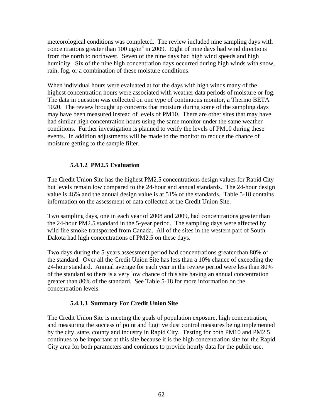meteorological conditions was completed. The review included nine sampling days with concentrations greater than 100 ug/ $\overline{m}^3$  in 2009. Eight of nine days had wind directions from the north to northwest. Seven of the nine days had high wind speeds and high humidity. Six of the nine high concentration days occurred during high winds with snow, rain, fog, or a combination of these moisture conditions.

When individual hours were evaluated at for the days with high winds many of the highest concentration hours were associated with weather data periods of moisture or fog. The data in question was collected on one type of continuous monitor, a Thermo BETA 1020. The review brought up concerns that moisture during some of the sampling days may have been measured instead of levels of PM10. There are other sites that may have had similar high concentration hours using the same monitor under the same weather conditions. Further investigation is planned to verify the levels of PM10 during these events. In addition adjustments will be made to the monitor to reduce the chance of moisture getting to the sample filter.

# **5.4.1.2 PM2.5 Evaluation**

The Credit Union Site has the highest PM2.5 concentrations design values for Rapid City but levels remain low compared to the 24-hour and annual standards. The 24-hour design value is 46% and the annual design value is at 51% of the standards. Table 5-18 contains information on the assessment of data collected at the Credit Union Site.

Two sampling days, one in each year of 2008 and 2009, had concentrations greater than the 24-hour PM2.5 standard in the 5-year period. The sampling days were affected by wild fire smoke transported from Canada. All of the sites in the western part of South Dakota had high concentrations of PM2.5 on these days.

Two days during the 5-years assessment period had concentrations greater than 80% of the standard. Over all the Credit Union Site has less than a 10% chance of exceeding the 24-hour standard. Annual average for each year in the review period were less than 80% of the standard so there is a very low chance of this site having an annual concentration greater than 80% of the standard. See Table 5-18 for more information on the concentration levels.

# **5.4.1.3 Summary For Credit Union Site**

The Credit Union Site is meeting the goals of population exposure, high concentration, and measuring the success of point and fugitive dust control measures being implemented by the city, state, county and industry in Rapid City. Testing for both PM10 and PM2.5 continues to be important at this site because it is the high concentration site for the Rapid City area for both parameters and continues to provide hourly data for the public use.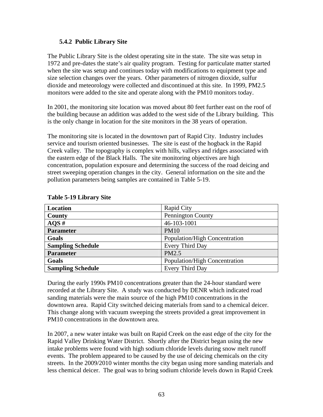### **5.4.2 Public Library Site**

The Public Library Site is the oldest operating site in the state. The site was setup in 1972 and pre-dates the state's air quality program. Testing for particulate matter started when the site was setup and continues today with modifications to equipment type and size selection changes over the years. Other parameters of nitrogen dioxide, sulfur dioxide and meteorology were collected and discontinued at this site. In 1999, PM2.5 monitors were added to the site and operate along with the PM10 monitors today.

In 2001, the monitoring site location was moved about 80 feet further east on the roof of the building because an addition was added to the west side of the Library building. This is the only change in location for the site monitors in the 38 years of operation.

The monitoring site is located in the downtown part of Rapid City. Industry includes service and tourism oriented businesses. The site is east of the hogback in the Rapid Creek valley. The topography is complex with hills, valleys and ridges associated with the eastern edge of the Black Halls. The site monitoring objectives are high concentration, population exposure and determining the success of the road deicing and street sweeping operation changes in the city. General information on the site and the pollution parameters being samples are contained in Table 5-19.

| <b>Location</b>          | <b>Rapid City</b>             |
|--------------------------|-------------------------------|
| <b>County</b>            | Pennington County             |
| AOS#                     | 46-103-1001                   |
| <b>Parameter</b>         | <b>PM10</b>                   |
| Goals                    | Population/High Concentration |
| <b>Sampling Schedule</b> | Every Third Day               |
| <b>Parameter</b>         | PM2.5                         |
| Goals                    | Population/High Concentration |
| <b>Sampling Schedule</b> | Every Third Day               |

#### **Table 5-19 Library Site**

During the early 1990s PM10 concentrations greater than the 24-hour standard were recorded at the Library Site. A study was conducted by DENR which indicated road sanding materials were the main source of the high PM10 concentrations in the downtown area. Rapid City switched deicing materials from sand to a chemical deicer. This change along with vacuum sweeping the streets provided a great improvement in PM10 concentrations in the downtown area.

In 2007, a new water intake was built on Rapid Creek on the east edge of the city for the Rapid Valley Drinking Water District. Shortly after the District began using the new intake problems were found with high sodium chloride levels during snow melt runoff events. The problem appeared to be caused by the use of deicing chemicals on the city streets. In the 2009/2010 winter months the city began using more sanding materials and less chemical deicer. The goal was to bring sodium chloride levels down in Rapid Creek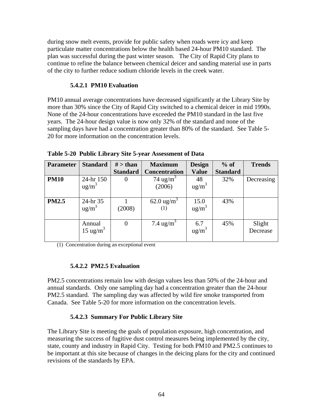during snow melt events, provide for public safety when roads were icy and keep particulate matter concentrations below the health based 24-hour PM10 standard. The plan was successful during the past winter season. The City of Rapid City plans to continue to refine the balance between chemical deicer and sanding material use in parts of the city to further reduce sodium chloride levels in the creek water.

### **5.4.2.1 PM10 Evaluation**

PM10 annual average concentrations have decreased significantly at the Library Site by more than 30% since the City of Rapid City switched to a chemical deicer in mid 1990s. None of the 24-hour concentrations have exceeded the PM10 standard in the last five years. The 24-hour design value is now only 32% of the standard and none of the sampling days have had a concentration greater than 80% of the standard. See Table 5- 20 for more information on the concentration levels.

| <b>Parameter</b> | <b>Standard</b>      | $#$ > than      | <b>Maximum</b>        | <b>Design</b>     | $%$ of          | <b>Trends</b> |
|------------------|----------------------|-----------------|-----------------------|-------------------|-----------------|---------------|
|                  |                      | <b>Standard</b> | <b>Concentration</b>  | <b>Value</b>      | <b>Standard</b> |               |
| <b>PM10</b>      | 24-hr 150            | $\theta$        | 74 ug/m <sup>3</sup>  | 48                | 32%             | Decreasing    |
|                  | $\text{ug/m}^3$      |                 | (2006)                | $ug/m^3$          |                 |               |
|                  |                      |                 |                       |                   |                 |               |
| <b>PM2.5</b>     | 24-hr 35             |                 | $62.0 \text{ ug/m}^3$ | 15.0              | 43%             |               |
|                  | $\text{ug/m}^3$      | (2008)          | (1)                   | $ug/m^3$          |                 |               |
|                  |                      |                 |                       |                   |                 |               |
|                  | Annual               | 0               | 7.4 ug/m <sup>3</sup> | 6.7               | 45%             | Slight        |
|                  | 15 ug/m <sup>3</sup> |                 |                       | ug/m <sup>3</sup> |                 | Decrease      |
|                  |                      |                 |                       |                   |                 |               |

**Table 5-20 Public Library Site 5-year Assessment of Data** 

(1) Concentration during an exceptional event

#### **5.4.2.2 PM2.5 Evaluation**

PM2.5 concentrations remain low with design values less than 50% of the 24-hour and annual standards. Only one sampling day had a concentration greater than the 24-hour PM2.5 standard. The sampling day was affected by wild fire smoke transported from Canada. See Table 5-20 for more information on the concentration levels.

# **5.4.2.3 Summary For Public Library Site**

The Library Site is meeting the goals of population exposure, high concentration, and measuring the success of fugitive dust control measures being implemented by the city, state, county and industry in Rapid City. Testing for both PM10 and PM2.5 continues to be important at this site because of changes in the deicing plans for the city and continued revisions of the standards by EPA.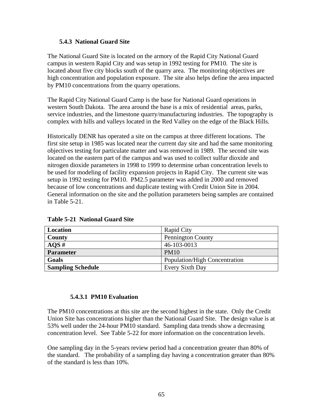#### **5.4.3 National Guard Site**

The National Guard Site is located on the armory of the Rapid City National Guard campus in western Rapid City and was setup in 1992 testing for PM10. The site is located about five city blocks south of the quarry area. The monitoring objectives are high concentration and population exposure. The site also helps define the area impacted by PM10 concentrations from the quarry operations.

The Rapid City National Guard Camp is the base for National Guard operations in western South Dakota. The area around the base is a mix of residential areas, parks, service industries, and the limestone quarry/manufacturing industries. The topography is complex with hills and valleys located in the Red Valley on the edge of the Black Hills.

Historically DENR has operated a site on the campus at three different locations. The first site setup in 1985 was located near the current day site and had the same monitoring objectives testing for particulate matter and was removed in 1989. The second site was located on the eastern part of the campus and was used to collect sulfur dioxide and nitrogen dioxide parameters in 1998 to 1999 to determine urban concentration levels to be used for modeling of facility expansion projects in Rapid City. The current site was setup in 1992 testing for PM10. PM2.5 parameter was added in 2000 and removed because of low concentrations and duplicate testing with Credit Union Site in 2004. General information on the site and the pollution parameters being samples are contained in Table 5-21.

| Location                 | <b>Rapid City</b>             |
|--------------------------|-------------------------------|
| County                   | <b>Pennington County</b>      |
| $AQS \#$                 | 46-103-0013                   |
| Parameter                | <b>PM10</b>                   |
| Goals                    | Population/High Concentration |
| <b>Sampling Schedule</b> | Every Sixth Day               |

**Table 5-21 National Guard Site** 

#### **5.4.3.1 PM10 Evaluation**

The PM10 concentrations at this site are the second highest in the state. Only the Credit Union Site has concentrations higher than the National Guard Site. The design value is at 53% well under the 24-hour PM10 standard. Sampling data trends show a decreasing concentration level. See Table 5-22 for more information on the concentration levels.

One sampling day in the 5-years review period had a concentration greater than 80% of the standard. The probability of a sampling day having a concentration greater than 80% of the standard is less than 10%.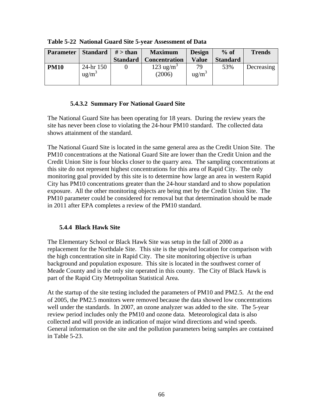| <b>Parameter</b> | <b>Standard</b>       | $#$ > than      | <b>Maximum</b>                 | <b>Design</b>  | $%$ of          | <b>Trends</b> |
|------------------|-----------------------|-----------------|--------------------------------|----------------|-----------------|---------------|
|                  |                       | <b>Standard</b> | <b>Concentration</b>           | <b>Value</b>   | <b>Standard</b> |               |
| <b>PM10</b>      | 24-hr 150<br>$ug/m^3$ |                 | $123 \text{ ug/m}^3$<br>(2006) | 79<br>$ug/m^3$ | 53%             | Decreasing    |

**Table 5-22 National Guard Site 5-year Assessment of Data** 

# **5.4.3.2 Summary For National Guard Site**

The National Guard Site has been operating for 18 years. During the review years the site has never been close to violating the 24-hour PM10 standard. The collected data shows attainment of the standard.

The National Guard Site is located in the same general area as the Credit Union Site. The PM10 concentrations at the National Guard Site are lower than the Credit Union and the Credit Union Site is four blocks closer to the quarry area. The sampling concentrations at this site do not represent highest concentrations for this area of Rapid City. The only monitoring goal provided by this site is to determine how large an area in western Rapid City has PM10 concentrations greater than the 24-hour standard and to show population exposure. All the other monitoring objects are being met by the Credit Union Site. The PM10 parameter could be considered for removal but that determination should be made in 2011 after EPA completes a review of the PM10 standard.

# **5.4.4 Black Hawk Site**

The Elementary School or Black Hawk Site was setup in the fall of 2000 as a replacement for the Northdale Site. This site is the upwind location for comparison with the high concentration site in Rapid City. The site monitoring objective is urban background and population exposure. This site is located in the southwest corner of Meade County and is the only site operated in this county. The City of Black Hawk is part of the Rapid City Metropolitan Statistical Area.

At the startup of the site testing included the parameters of PM10 and PM2.5. At the end of 2005, the PM2.5 monitors were removed because the data showed low concentrations well under the standards. In 2007, an ozone analyzer was added to the site. The 5-year review period includes only the PM10 and ozone data. Meteorological data is also collected and will provide an indication of major wind directions and wind speeds. General information on the site and the pollution parameters being samples are contained in Table 5-23.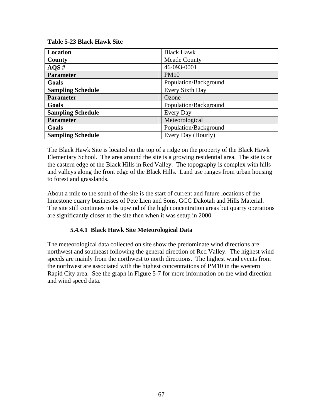**Table 5-23 Black Hawk Site** 

| Location                 | <b>Black Hawk</b>     |
|--------------------------|-----------------------|
| County                   | <b>Meade County</b>   |
| AOS#                     | 46-093-0001           |
| <b>Parameter</b>         | <b>PM10</b>           |
| Goals                    | Population/Background |
| <b>Sampling Schedule</b> | Every Sixth Day       |
| <b>Parameter</b>         | Ozone                 |
| Goals                    | Population/Background |
| <b>Sampling Schedule</b> | Every Day             |
| <b>Parameter</b>         | Meteorological        |
| Goals                    | Population/Background |
| <b>Sampling Schedule</b> | Every Day (Hourly)    |

The Black Hawk Site is located on the top of a ridge on the property of the Black Hawk Elementary School. The area around the site is a growing residential area. The site is on the eastern edge of the Black Hills in Red Valley. The topography is complex with hills and valleys along the front edge of the Black Hills. Land use ranges from urban housing to forest and grasslands.

About a mile to the south of the site is the start of current and future locations of the limestone quarry businesses of Pete Lien and Sons, GCC Dakotah and Hills Material. The site still continues to be upwind of the high concentration areas but quarry operations are significantly closer to the site then when it was setup in 2000.

# **5.4.4.1 Black Hawk Site Meteorological Data**

The meteorological data collected on site show the predominate wind directions are northwest and southeast following the general direction of Red Valley. The highest wind speeds are mainly from the northwest to north directions. The highest wind events from the northwest are associated with the highest concentrations of PM10 in the western Rapid City area. See the graph in Figure 5-7 for more information on the wind direction and wind speed data.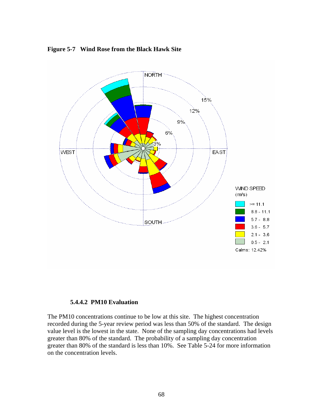

#### **Figure 5-7 Wind Rose from the Black Hawk Site**

#### **5.4.4.2 PM10 Evaluation**

The PM10 concentrations continue to be low at this site. The highest concentration recorded during the 5-year review period was less than 50% of the standard. The design value level is the lowest in the state. None of the sampling day concentrations had levels greater than 80% of the standard. The probability of a sampling day concentration greater than 80% of the standard is less than 10%. See Table 5-24 for more information on the concentration levels.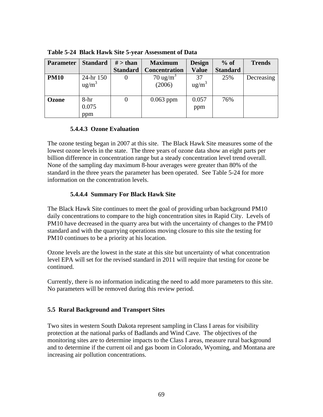| <b>Parameter</b> | <b>Standard</b>   | $#$ > than      | <b>Maximum</b>       | <b>Design</b> | $%$ of          | <b>Trends</b> |
|------------------|-------------------|-----------------|----------------------|---------------|-----------------|---------------|
|                  |                   | <b>Standard</b> | <b>Concentration</b> | <b>Value</b>  | <b>Standard</b> |               |
| <b>PM10</b>      | $24-hr$ 150       |                 | $70 \text{ ug/m}^3$  | 37            | 25%             | Decreasing    |
|                  | ug/m <sup>3</sup> |                 | (2006)               | $ug/m^3$      |                 |               |
|                  |                   |                 |                      |               |                 |               |
| Ozone            | 8-hr              | O               | $0.063$ ppm          | 0.057         | 76%             |               |
|                  | 0.075             |                 |                      | ppm           |                 |               |
|                  | ppm               |                 |                      |               |                 |               |

**Table 5-24 Black Hawk Site 5-year Assessment of Data** 

# **5.4.4.3 Ozone Evaluation**

The ozone testing began in 2007 at this site. The Black Hawk Site measures some of the lowest ozone levels in the state. The three years of ozone data show an eight parts per billion difference in concentration range but a steady concentration level trend overall. None of the sampling day maximum 8-hour averages were greater than 80% of the standard in the three years the parameter has been operated. See Table 5-24 for more information on the concentration levels.

# **5.4.4.4 Summary For Black Hawk Site**

The Black Hawk Site continues to meet the goal of providing urban background PM10 daily concentrations to compare to the high concentration sites in Rapid City. Levels of PM10 have decreased in the quarry area but with the uncertainty of changes to the PM10 standard and with the quarrying operations moving closure to this site the testing for PM10 continues to be a priority at his location.

Ozone levels are the lowest in the state at this site but uncertainty of what concentration level EPA will set for the revised standard in 2011 will require that testing for ozone be continued.

Currently, there is no information indicating the need to add more parameters to this site. No parameters will be removed during this review period.

# **5.5 Rural Background and Transport Sites**

Two sites in western South Dakota represent sampling in Class I areas for visibility protection at the national parks of Badlands and Wind Cave. The objectives of the monitoring sites are to determine impacts to the Class I areas, measure rural background and to determine if the current oil and gas boom in Colorado, Wyoming, and Montana are increasing air pollution concentrations.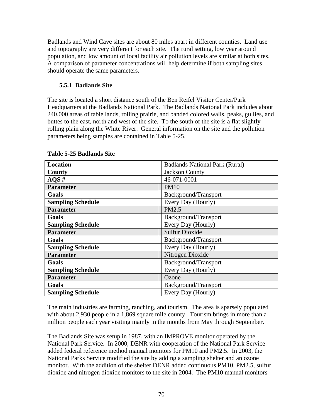Badlands and Wind Cave sites are about 80 miles apart in different counties. Land use and topography are very different for each site. The rural setting, low year around population, and low amount of local facility air pollution levels are similar at both sites. A comparison of parameter concentrations will help determine if both sampling sites should operate the same parameters.

# **5.5.1 Badlands Site**

The site is located a short distance south of the Ben Reifel Visitor Center/Park Headquarters at the Badlands National Park. The Badlands National Park includes about 240,000 areas of table lands, rolling prairie, and banded colored walls, peaks, gullies, and buttes to the east, north and west of the site. To the south of the site is a flat slightly rolling plain along the White River. General information on the site and the pollution parameters being samples are contained in Table 5-25.

| <b>Location</b>          | <b>Badlands National Park (Rural)</b> |  |  |  |
|--------------------------|---------------------------------------|--|--|--|
|                          |                                       |  |  |  |
| County                   | <b>Jackson County</b>                 |  |  |  |
| $AQS \#$                 | 46-071-0001                           |  |  |  |
| <b>Parameter</b>         | <b>PM10</b>                           |  |  |  |
| Goals                    | Background/Transport                  |  |  |  |
| <b>Sampling Schedule</b> | Every Day (Hourly)                    |  |  |  |
| <b>Parameter</b>         | PM2.5                                 |  |  |  |
| Goals                    | Background/Transport                  |  |  |  |
| <b>Sampling Schedule</b> | Every Day (Hourly)                    |  |  |  |
| <b>Parameter</b>         | <b>Sulfur Dioxide</b>                 |  |  |  |
| Goals                    | Background/Transport                  |  |  |  |
| <b>Sampling Schedule</b> | Every Day (Hourly)                    |  |  |  |
| <b>Parameter</b>         | Nitrogen Dioxide                      |  |  |  |
| Goals                    | Background/Transport                  |  |  |  |
| <b>Sampling Schedule</b> | Every Day (Hourly)                    |  |  |  |
| <b>Parameter</b>         | Ozone                                 |  |  |  |
| Goals                    | Background/Transport                  |  |  |  |
| <b>Sampling Schedule</b> | Every Day (Hourly)                    |  |  |  |

#### **Table 5-25 Badlands Site**

The main industries are farming, ranching, and tourism. The area is sparsely populated with about 2,930 people in a 1,869 square mile county. Tourism brings in more than a million people each year visiting mainly in the months from May through September.

The Badlands Site was setup in 1987, with an IMPROVE monitor operated by the National Park Service. In 2000, DENR with cooperation of the National Park Service added federal reference method manual monitors for PM10 and PM2.5. In 2003, the National Parks Service modified the site by adding a sampling shelter and an ozone monitor. With the addition of the shelter DENR added continuous PM10, PM2.5, sulfur dioxide and nitrogen dioxide monitors to the site in 2004. The PM10 manual monitors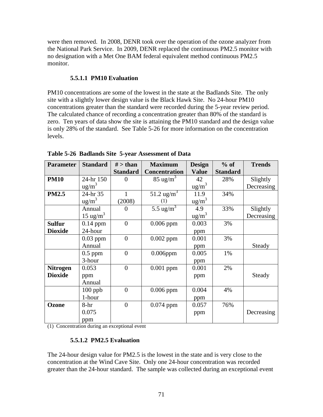were then removed. In 2008, DENR took over the operation of the ozone analyzer from the National Park Service. In 2009, DENR replaced the continuous PM2.5 monitor with no designation with a Met One BAM federal equivalent method continuous PM2.5 monitor.

### **5.5.1.1 PM10 Evaluation**

PM10 concentrations are some of the lowest in the state at the Badlands Site. The only site with a slightly lower design value is the Black Hawk Site. No 24-hour PM10 concentrations greater than the standard were recorded during the 5-year review period. The calculated chance of recording a concentration greater than 80% of the standard is zero. Ten years of data show the site is attaining the PM10 standard and the design value is only 28% of the standard. See Table 5-26 for more information on the concentration levels.

| <b>Parameter</b> | <b>Standard</b>     | $#$ > than       | <b>Maximum</b>                | <b>Design</b>               | $%$ of          | <b>Trends</b> |
|------------------|---------------------|------------------|-------------------------------|-----------------------------|-----------------|---------------|
|                  |                     | <b>Standard</b>  | <b>Concentration</b>          | <b>Value</b>                | <b>Standard</b> |               |
| <b>PM10</b>      | 24-hr 150           | $\theta$         | $85 \text{ ug/m}^3$           | 42                          | 28%             | Slightly      |
|                  | $\text{ug/m}^3$     |                  |                               | ug/m <sup>3</sup>           |                 | Decreasing    |
| <b>PM2.5</b>     | 24-hr 35            | 1                | 51.2 ug/m <sup>3</sup>        | 11.9                        | 34%             |               |
|                  | ug/m <sup>3</sup>   | (2008)           | (1)                           | $\frac{ug}{m}$ <sup>3</sup> |                 |               |
|                  | Annual              | $\Omega$         | 5.5 $\frac{1}{\text{kg/m}^3}$ | 4.9                         | 33%             | Slightly      |
|                  | $15 \text{ ug/m}^3$ |                  |                               | $\text{ug/m}^3$             |                 | Decreasing    |
| <b>Sulfur</b>    | $0.14$ ppm          | $\overline{0}$   | $0.006$ ppm                   | 0.003                       | 3%              |               |
| <b>Dioxide</b>   | 24-hour             |                  |                               | ppm                         |                 |               |
|                  | $0.03$ ppm          | $\boldsymbol{0}$ | $0.002$ ppm                   | 0.001                       | 3%              |               |
|                  | Annual              |                  |                               | ppm                         |                 | Steady        |
|                  | $0.5$ ppm           | $\overline{0}$   | $0.006$ ppm                   | 0.005                       | 1%              |               |
|                  | 3-hour              |                  |                               | ppm                         |                 |               |
| <b>Nitrogen</b>  | 0.053               | $\boldsymbol{0}$ | $0.001$ ppm                   | 0.001                       | 2%              |               |
| <b>Dioxide</b>   | ppm                 |                  |                               | ppm                         |                 | Steady        |
|                  | Annual              |                  |                               |                             |                 |               |
|                  | $100$ ppb           | $\theta$         | $0.006$ ppm                   | 0.004                       | 4%              |               |
|                  | 1-hour              |                  |                               | ppm                         |                 |               |
| Ozone            | 8-hr                | $\theta$         | $0.074$ ppm                   | 0.057                       | 76%             |               |
|                  | 0.075               |                  |                               | ppm                         |                 | Decreasing    |
|                  | ppm                 |                  |                               |                             |                 |               |

**Table 5-26 Badlands Site 5-year Assessment of Data** 

(1) Concentration during an exceptional event

#### **5.5.1.2 PM2.5 Evaluation**

The 24-hour design value for PM2.5 is the lowest in the state and is very close to the concentration at the Wind Cave Site. Only one 24-hour concentration was recorded greater than the 24-hour standard. The sample was collected during an exceptional event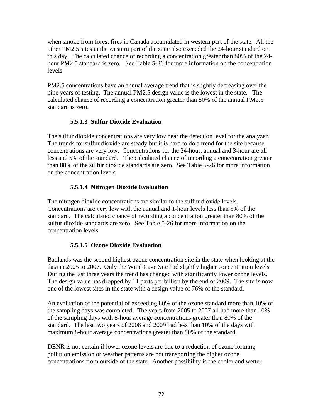when smoke from forest fires in Canada accumulated in western part of the state. All the other PM2.5 sites in the western part of the state also exceeded the 24-hour standard on this day. The calculated chance of recording a concentration greater than 80% of the 24 hour PM2.5 standard is zero. See Table 5-26 for more information on the concentration levels

PM2.5 concentrations have an annual average trend that is slightly decreasing over the nine years of testing. The annual PM2.5 design value is the lowest in the state. The calculated chance of recording a concentration greater than 80% of the annual PM2.5 standard is zero.

# **5.5.1.3 Sulfur Dioxide Evaluation**

The sulfur dioxide concentrations are very low near the detection level for the analyzer. The trends for sulfur dioxide are steady but it is hard to do a trend for the site because concentrations are very low. Concentrations for the 24-hour, annual and 3-hour are all less and 5% of the standard. The calculated chance of recording a concentration greater than 80% of the sulfur dioxide standards are zero. See Table 5-26 for more information on the concentration levels

# **5.5.1.4 Nitrogen Dioxide Evaluation**

The nitrogen dioxide concentrations are similar to the sulfur dioxide levels. Concentrations are very low with the annual and 1-hour levels less than 5% of the standard. The calculated chance of recording a concentration greater than 80% of the sulfur dioxide standards are zero. See Table 5-26 for more information on the concentration levels

# **5.5.1.5 Ozone Dioxide Evaluation**

Badlands was the second highest ozone concentration site in the state when looking at the data in 2005 to 2007. Only the Wind Cave Site had slightly higher concentration levels. During the last three years the trend has changed with significantly lower ozone levels. The design value has dropped by 11 parts per billion by the end of 2009. The site is now one of the lowest sites in the state with a design value of 76% of the standard.

An evaluation of the potential of exceeding 80% of the ozone standard more than 10% of the sampling days was completed. The years from 2005 to 2007 all had more than 10% of the sampling days with 8-hour average concentrations greater than 80% of the standard. The last two years of 2008 and 2009 had less than 10% of the days with maximum 8-hour average concentrations greater than 80% of the standard.

DENR is not certain if lower ozone levels are due to a reduction of ozone forming pollution emission or weather patterns are not transporting the higher ozone concentrations from outside of the state. Another possibility is the cooler and wetter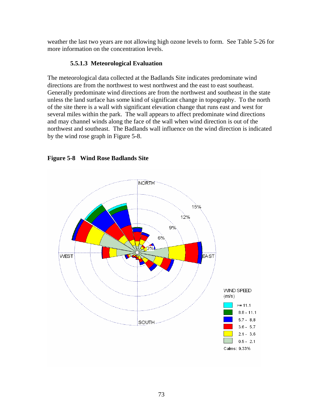weather the last two years are not allowing high ozone levels to form. See Table 5-26 for more information on the concentration levels.

# **5.5.1.3 Meteorological Evaluation**

The meteorological data collected at the Badlands Site indicates predominate wind directions are from the northwest to west northwest and the east to east southeast. Generally predominate wind directions are from the northwest and southeast in the state unless the land surface has some kind of significant change in topography. To the north of the site there is a wall with significant elevation change that runs east and west for several miles within the park. The wall appears to affect predominate wind directions and may channel winds along the face of the wall when wind direction is out of the northwest and southeast. The Badlands wall influence on the wind direction is indicated by the wind rose graph in Figure 5-8.



**Figure 5-8 Wind Rose Badlands Site**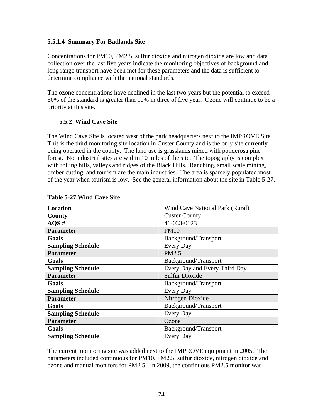#### **5.5.1.4 Summary For Badlands Site**

Concentrations for PM10, PM2.5, sulfur dioxide and nitrogen dioxide are low and data collection over the last five years indicate the monitoring objectives of background and long range transport have been met for these parameters and the data is sufficient to determine compliance with the national standards.

The ozone concentrations have declined in the last two years but the potential to exceed 80% of the standard is greater than 10% in three of five year. Ozone will continue to be a priority at this site.

### **5.5.2 Wind Cave Site**

The Wind Cave Site is located west of the park headquarters next to the IMPROVE Site. This is the third monitoring site location in Custer County and is the only site currently being operated in the county. The land use is grasslands mixed with ponderosa pine forest. No industrial sites are within 10 miles of the site. The topography is complex with rolling hills, valleys and ridges of the Black Hills. Ranching, small scale mining, timber cutting, and tourism are the main industries. The area is sparsely populated most of the year when tourism is low. See the general information about the site in Table 5-27.

| <b>Location</b>          | Wind Cave National Park (Rural) |
|--------------------------|---------------------------------|
| County                   | <b>Custer County</b>            |
| $AQS \#$                 | 46-033-0123                     |
| <b>Parameter</b>         | <b>PM10</b>                     |
| Goals                    | Background/Transport            |
| <b>Sampling Schedule</b> | Every Day                       |
| <b>Parameter</b>         | PM2.5                           |
| Goals                    | Background/Transport            |
| <b>Sampling Schedule</b> | Every Day and Every Third Day   |
| <b>Parameter</b>         | <b>Sulfur Dioxide</b>           |
| Goals                    | Background/Transport            |
| <b>Sampling Schedule</b> | <b>Every Day</b>                |
| <b>Parameter</b>         | Nitrogen Dioxide                |
| Goals                    | Background/Transport            |
| <b>Sampling Schedule</b> | <b>Every Day</b>                |
| <b>Parameter</b>         | Ozone                           |
| Goals                    | Background/Transport            |
| <b>Sampling Schedule</b> | <b>Every Day</b>                |

### **Table 5-27 Wind Cave Site**

The current monitoring site was added next to the IMPROVE equipment in 2005. The parameters included continuous for PM10, PM2.5, sulfur dioxide, nitrogen dioxide and ozone and manual monitors for PM2.5. In 2009, the continuous PM2.5 monitor was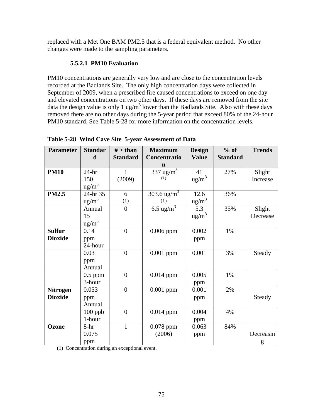replaced with a Met One BAM PM2.5 that is a federal equivalent method. No other changes were made to the sampling parameters.

## **5.5.2.1 PM10 Evaluation**

PM10 concentrations are generally very low and are close to the concentration levels recorded at the Badlands Site. The only high concentration days were collected in September of 2009, when a prescribed fire caused concentrations to exceed on one day and elevated concentrations on two other days. If these days are removed from the site data the design value is only 1 ug/m<sup>3</sup> lower than the Badlands Site. Also with these days removed there are no other days during the 5-year period that exceed 80% of the 24-hour PM10 standard. See Table 5-28 for more information on the concentration levels.

| <b>Parameter</b> | <b>Standar</b><br>$\mathbf d$ | $#$ > than<br><b>Standard</b> | <b>Maximum</b><br>Concentratio | <b>Design</b>          | $%$ of<br><b>Standard</b> | <b>Trends</b> |
|------------------|-------------------------------|-------------------------------|--------------------------------|------------------------|---------------------------|---------------|
|                  |                               |                               | $\mathbf n$                    | <b>Value</b>           |                           |               |
| <b>PM10</b>      | $24-hr$                       | $\mathbf{1}$                  | $337 \overline{\text{ug/m}^3}$ | 41                     | 27%                       | Slight        |
|                  | 150                           | (2009)                        | (1)                            | $\text{ug/m}^3$        |                           | Increase      |
|                  | $\text{ug/m}^3$               |                               |                                |                        |                           |               |
| <b>PM2.5</b>     | 24-hr 35                      | 6                             | 303.6 ug/m <sup>3</sup>        | 12.6                   | 36%                       |               |
|                  | $\frac{ug}{m}$ <sup>3</sup>   | (1)                           | (1)                            | $\mu$ g/m <sup>3</sup> |                           |               |
|                  | Annual                        | $\overline{0}$                | 6.5 ug/m <sup>3</sup>          | 5.3                    | 35%                       | Slight        |
|                  | 15                            |                               |                                | ug/m <sup>3</sup>      |                           | Decrease      |
|                  | $\frac{ug/m^3}{2}$            |                               |                                |                        |                           |               |
| <b>Sulfur</b>    | 0.14                          | $\overline{0}$                | $0.006$ ppm                    | 0.002                  | 1%                        |               |
| <b>Dioxide</b>   | ppm                           |                               |                                | ppm                    |                           |               |
|                  | 24-hour                       |                               |                                |                        |                           |               |
|                  | 0.03                          | $\boldsymbol{0}$              | $0.001$ ppm                    | 0.001                  | 3%                        | Steady        |
|                  | ppm                           |                               |                                |                        |                           |               |
|                  | Annual                        |                               |                                |                        |                           |               |
|                  | $0.5$ ppm                     | $\overline{0}$                | $0.014$ ppm                    | 0.005                  | 1%                        |               |
|                  | 3-hour                        |                               |                                | ppm                    |                           |               |
| <b>Nitrogen</b>  | 0.053                         | $\overline{0}$                | $0.001$ ppm                    | 0.001                  | 2%                        |               |
| <b>Dioxide</b>   | ppm                           |                               |                                | ppm                    |                           | Steady        |
|                  | Annual                        |                               |                                |                        |                           |               |
|                  | $100$ ppb                     | $\overline{0}$                | $0.014$ ppm                    | 0.004                  | 4%                        |               |
|                  | 1-hour                        |                               |                                | ppm                    |                           |               |
| Ozone            | $8-hr$                        | 1                             | $0.078$ ppm                    | 0.063                  | 84%                       |               |
|                  | 0.075                         |                               | (2006)                         | ppm                    |                           | Decreasin     |
|                  | ppm                           |                               |                                |                        |                           | g             |

**Table 5-28 Wind Cave Site 5-year Assessment of Data** 

(1) Concentration during an exceptional event.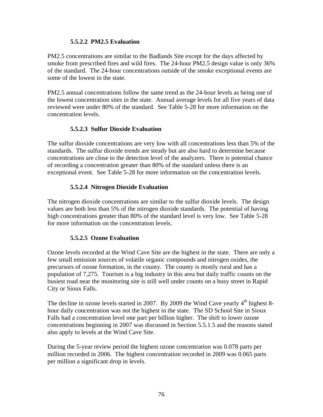#### **5.5.2.2 PM2.5 Evaluation**

PM2.5 concentrations are similar to the Badlands Site except for the days affected by smoke from prescribed fires and wild fires. The 24-hour PM2.5 design value is only 36% of the standard. The 24-hour concentrations outside of the smoke exceptional events are some of the lowest in the state.

PM2.5 annual concentrations follow the same trend as the 24-hour levels as being one of the lowest concentration sites in the state. Annual average levels for all five years of data reviewed were under 80% of the standard. See Table 5-28 for more information on the concentration levels.

#### **5.5.2.3 Sulfur Dioxide Evaluation**

The sulfur dioxide concentrations are very low with all concentrations less than 5% of the standards. The sulfur dioxide trends are steady but are also hard to determine because concentrations are close to the detection level of the analyzers. There is potential chance of recording a concentration greater than 80% of the standard unless there is an exceptional event. See Table 5-28 for more information on the concentration levels.

#### **5.5.2.4 Nitrogen Dioxide Evaluation**

The nitrogen dioxide concentrations are similar to the sulfur dioxide levels. The design values are both less than 5% of the nitrogen dioxide standards. The potential of having high concentrations greater than 80% of the standard level is very low. See Table 5-28 for more information on the concentration levels.

### **5.5.2.5 Ozone Evaluation**

Ozone levels recorded at the Wind Cave Site are the highest in the state. There are only a few small emission sources of volatile organic compounds and nitrogen oxides, the precursors of ozone formation, in the county. The county is mostly rural and has a population of 7,275. Tourism is a big industry in this area but daily traffic counts on the busiest road near the monitoring site is still well under counts on a busy street in Rapid City or Sioux Falls.

The decline in ozone levels started in 2007. By 2009 the Wind Cave yearly  $4<sup>th</sup>$  highest 8hour daily concentration was not the highest in the state. The SD School Site in Sioux Falls had a concentration level one part per billion higher. The shift to lower ozone concentrations beginning in 2007 was discussed in Section 5.5.1.5 and the reasons stated also apply to levels at the Wind Cave Site.

During the 5-year review period the highest ozone concentration was 0.078 parts per million recorded in 2006. The highest concentration recorded in 2009 was 0.065 parts per million a significant drop in levels.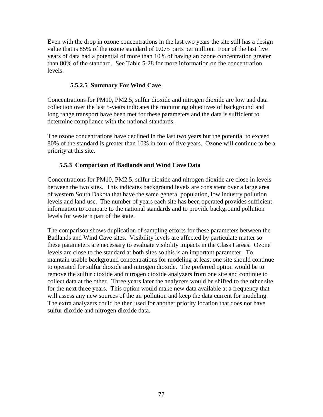Even with the drop in ozone concentrations in the last two years the site still has a design value that is 85% of the ozone standard of 0.075 parts per million. Four of the last five years of data had a potential of more than 10% of having an ozone concentration greater than 80% of the standard. See Table 5-28 for more information on the concentration levels.

## **5.5.2.5 Summary For Wind Cave**

Concentrations for PM10, PM2.5, sulfur dioxide and nitrogen dioxide are low and data collection over the last 5-years indicates the monitoring objectives of background and long range transport have been met for these parameters and the data is sufficient to determine compliance with the national standards.

The ozone concentrations have declined in the last two years but the potential to exceed 80% of the standard is greater than 10% in four of five years. Ozone will continue to be a priority at this site.

## **5.5.3 Comparison of Badlands and Wind Cave Data**

Concentrations for PM10, PM2.5, sulfur dioxide and nitrogen dioxide are close in levels between the two sites. This indicates background levels are consistent over a large area of western South Dakota that have the same general population, low industry pollution levels and land use. The number of years each site has been operated provides sufficient information to compare to the national standards and to provide background pollution levels for western part of the state.

The comparison shows duplication of sampling efforts for these parameters between the Badlands and Wind Cave sites. Visibility levels are affected by particulate matter so these parameters are necessary to evaluate visibility impacts in the Class I areas. Ozone levels are close to the standard at both sites so this is an important parameter. To maintain usable background concentrations for modeling at least one site should continue to operated for sulfur dioxide and nitrogen dioxide. The preferred option would be to remove the sulfur dioxide and nitrogen dioxide analyzers from one site and continue to collect data at the other. Three years later the analyzers would be shifted to the other site for the next three years. This option would make new data available at a frequency that will assess any new sources of the air pollution and keep the data current for modeling. The extra analyzers could be then used for another priority location that does not have sulfur dioxide and nitrogen dioxide data.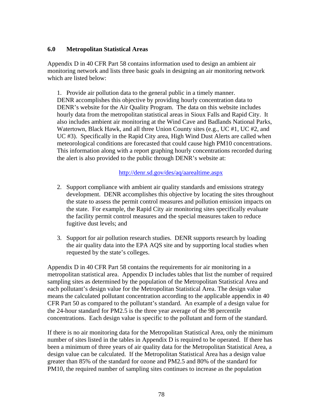#### **6.0 Metropolitan Statistical Areas**

Appendix D in 40 CFR Part 58 contains information used to design an ambient air monitoring network and lists three basic goals in designing an air monitoring network which are listed below:

1. Provide air pollution data to the general public in a timely manner. DENR accomplishes this objective by providing hourly concentration data to DENR's website for the Air Quality Program. The data on this website includes hourly data from the metropolitan statistical areas in Sioux Falls and Rapid City. It also includes ambient air monitoring at the Wind Cave and Badlands National Parks, Watertown, Black Hawk, and all three Union County sites (e.g., UC #1, UC #2, and UC #3). Specifically in the Rapid City area, High Wind Dust Alerts are called when meteorological conditions are forecasted that could cause high PM10 concentrations. This information along with a report graphing hourly concentrations recorded during the alert is also provided to the public through DENR's website at:

#### <http://denr.sd.gov/des/aq/aarealtime.aspx>

- 2. Support compliance with ambient air quality standards and emissions strategy development. DENR accomplishes this objective by locating the sites throughout the state to assess the permit control measures and pollution emission impacts on the state. For example, the Rapid City air monitoring sites specifically evaluate the facility permit control measures and the special measures taken to reduce fugitive dust levels; and
- 3. Support for air pollution research studies. DENR supports research by loading the air quality data into the EPA AQS site and by supporting local studies when requested by the state's colleges.

Appendix D in 40 CFR Part 58 contains the requirements for air monitoring in a metropolitan statistical area. Appendix D includes tables that list the number of required sampling sites as determined by the population of the Metropolitan Statistical Area and each pollutant's design value for the Metropolitan Statistical Area. The design value means the calculated pollutant concentration according to the applicable appendix in 40 CFR Part 50 as compared to the pollutant's standard. An example of a design value for the 24-hour standard for PM2.5 is the three year average of the 98 percentile concentrations. Each design value is specific to the pollutant and form of the standard.

If there is no air monitoring data for the Metropolitan Statistical Area, only the minimum number of sites listed in the tables in Appendix D is required to be operated. If there has been a minimum of three years of air quality data for the Metropolitan Statistical Area, a design value can be calculated. If the Metropolitan Statistical Area has a design value greater than 85% of the standard for ozone and PM2.5 and 80% of the standard for PM10, the required number of sampling sites continues to increase as the population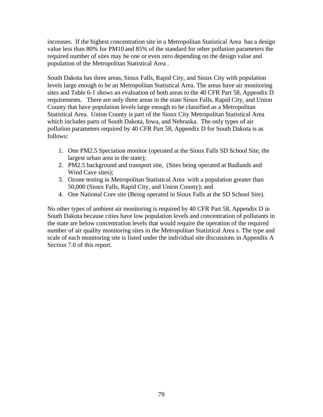increases. If the highest concentration site in a Metropolitan Statistical Area has a design value less than 80% for PM10 and 85% of the standard for other pollution parameters the required number of sites may be one or even zero depending on the design value and population of the Metropolitan Statistical Area .

South Dakota has three areas, Sioux Falls, Rapid City, and Sioux City with population levels large enough to be an Metropolitan Statistical Area. The areas have air monitoring sites and Table 6-1 shows an evaluation of both areas to the 40 CFR Part 58, Appendix D requirements. There are only three areas in the state Sioux Falls, Rapid City, and Union County that have population levels large enough to be classified as a Metropolitan Statistical Area. Union County is part of the Sioux City Metropolitan Statistical Area which includes parts of South Dakota, Iowa, and Nebraska. The only types of air pollution parameters required by 40 CFR Part 58, Appendix D for South Dakota is as follows:

- 1. One PM2.5 Speciation monitor (operated at the Sioux Falls SD School Site, the largest urban area in the state);
- 2. PM2.5 background and transport site, (Sites being operated at Badlands and Wind Cave sites);
- 3. Ozone testing in Metropolitan Statistical Area with a population greater than 50,000 (Sioux Falls, Rapid City, and Union County); and
- 4. One National Core site (Being operated in Sioux Falls at the SD School Site).

No other types of ambient air monitoring is required by 40 CFR Part 58, Appendix D in South Dakota because cities have low population levels and concentration of pollutants in the state are below concentration levels that would require the operation of the required number of air quality monitoring sites in the Metropolitan Statistical Area s. The type and scale of each monitoring site is listed under the individual site discussions in Appendix A Section 7.0 of this report.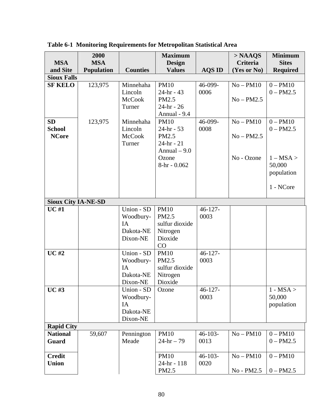|                            | 2000              |                 | <b>Maximum</b>                 |               | $>$ NAAQS   | <b>Minimum</b>  |
|----------------------------|-------------------|-----------------|--------------------------------|---------------|-------------|-----------------|
| <b>MSA</b>                 | <b>MSA</b>        |                 | <b>Design</b>                  |               | Criteria    | <b>Sites</b>    |
| and Site                   | <b>Population</b> | <b>Counties</b> | <b>Values</b>                  | <b>AQS ID</b> | (Yes or No) | <b>Required</b> |
| <b>Sioux Falls</b>         |                   |                 |                                |               |             |                 |
| <b>SF KELO</b>             | 123,975           | Minnehaha       | <b>PM10</b>                    | 46-099-       | $No-PM10$   | $0 - PM10$      |
|                            |                   | Lincoln         | $24-hr - 43$                   | 0006          |             | $0 - PM2.5$     |
|                            |                   | <b>McCook</b>   | PM2.5                          |               | $No-PM2.5$  |                 |
|                            |                   | Turner          | $24 - hr - 26$<br>Annual - 9.4 |               |             |                 |
| <b>SD</b>                  | 123,975           | Minnehaha       | <b>PM10</b>                    | 46-099-       | $No-PM10$   | $0 - PM10$      |
| <b>School</b>              |                   | Lincoln         | $24-hr - 53$                   | 0008          |             | $0 - PM2.5$     |
| <b>NCore</b>               |                   | <b>McCook</b>   | PM2.5                          |               | $No-PM2.5$  |                 |
|                            |                   | Turner          | $24 - hr - 21$                 |               |             |                 |
|                            |                   |                 | Annual $-9.0$                  |               |             |                 |
|                            |                   |                 | Ozone                          |               | No - Ozone  | $1 - MSA >$     |
|                            |                   |                 | $8-hr - 0.062$                 |               |             | 50,000          |
|                            |                   |                 |                                |               |             | population      |
|                            |                   |                 |                                |               |             |                 |
|                            |                   |                 |                                |               |             | 1 - NCore       |
|                            |                   |                 |                                |               |             |                 |
| <b>Sioux City IA-NE-SD</b> |                   |                 |                                |               |             |                 |
| <b>UC#1</b>                |                   | Union - SD      | <b>PM10</b>                    | $46 - 127 -$  |             |                 |
|                            |                   | Woodbury-       | PM2.5                          | 0003          |             |                 |
|                            |                   | IA              | sulfur dioxide                 |               |             |                 |
|                            |                   | Dakota-NE       | Nitrogen                       |               |             |                 |
|                            |                   | Dixon-NE        | Dioxide                        |               |             |                 |
|                            |                   |                 | CO                             |               |             |                 |
| <b>UC#2</b>                |                   | Union - SD      | <b>PM10</b>                    | $46 - 127 -$  |             |                 |
|                            |                   | Woodbury-<br>IA | PM2.5<br>sulfur dioxide        | 0003          |             |                 |
|                            |                   | Dakota-NE       | Nitrogen                       |               |             |                 |
|                            |                   | Dixon-NE        | Dioxide                        |               |             |                 |
| $UC$ #3                    |                   | Union - SD      | Ozone                          | $46 - 127 -$  |             | $1 - MSA >$     |
|                            |                   | Woodbury-       |                                | 0003          |             | 50,000          |
|                            |                   | IA              |                                |               |             | population      |
|                            |                   | Dakota-NE       |                                |               |             |                 |
|                            |                   | Dixon-NE        |                                |               |             |                 |
| <b>Rapid City</b>          |                   |                 |                                |               |             |                 |
| <b>National</b>            | 59,607            | Pennington      | <b>PM10</b>                    | $46 - 103 -$  | $No-PM10$   | $0 - PM10$      |
| <b>Guard</b>               |                   | Meade           | $24 - hr - 79$                 | 0013          |             | $0 - PM2.5$     |
|                            |                   |                 |                                |               |             |                 |
| <b>Credit</b>              |                   |                 | <b>PM10</b>                    | $46 - 103 -$  | $No-PM10$   | $0 - PM10$      |
| <b>Union</b>               |                   |                 | 24-hr - 118                    | 0020          |             |                 |
|                            |                   |                 | PM2.5                          |               | No - PM2.5  | $0 - PM2.5$     |

**Table 6-1 Monitoring Requirements for Metropolitan Statistical Area**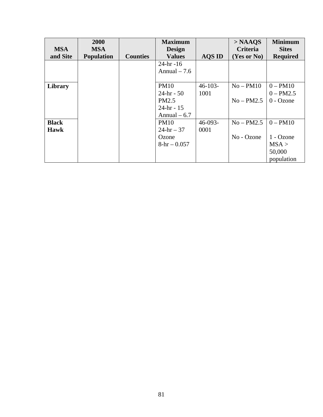|              | 2000              |                 | <b>Maximum</b> |               | $>$ NAAQS   | <b>Minimum</b>  |
|--------------|-------------------|-----------------|----------------|---------------|-------------|-----------------|
| <b>MSA</b>   | <b>MSA</b>        |                 | <b>Design</b>  |               | Criteria    | <b>Sites</b>    |
| and Site     | <b>Population</b> | <b>Counties</b> | <b>Values</b>  | <b>AQS ID</b> | (Yes or No) | <b>Required</b> |
|              |                   |                 | $24 - hr - 16$ |               |             |                 |
|              |                   |                 | Annual $-7.6$  |               |             |                 |
|              |                   |                 |                |               |             |                 |
| Library      |                   |                 | <b>PM10</b>    | $46 - 103 -$  | $No-PM10$   | $0 - PM10$      |
|              |                   |                 | $24-hr - 50$   | 1001          |             | $0 - PM2.5$     |
|              |                   |                 | PM2.5          |               | $No-PM2.5$  | $0 - Ozone$     |
|              |                   |                 | $24 - hr - 15$ |               |             |                 |
|              |                   |                 | Annual $-6.7$  |               |             |                 |
| <b>Black</b> |                   |                 | PM10           | $46-093-$     | $No-PM2.5$  | $0 - PM10$      |
| Hawk         |                   |                 | $24 - hr - 37$ | 0001          |             |                 |
|              |                   |                 | Ozone          |               | No - Ozone  | 1 - Ozone       |
|              |                   |                 | $8-hr - 0.057$ |               |             | MSA >           |
|              |                   |                 |                |               |             | 50,000          |
|              |                   |                 |                |               |             | population      |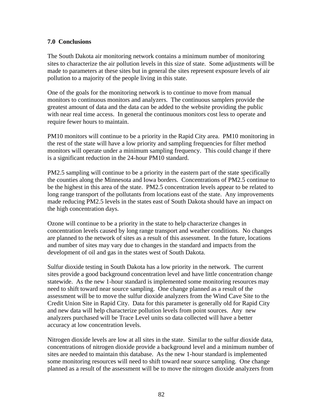#### **7.0 Conclusions**

The South Dakota air monitoring network contains a minimum number of monitoring sites to characterize the air pollution levels in this size of state. Some adjustments will be made to parameters at these sites but in general the sites represent exposure levels of air pollution to a majority of the people living in this state.

One of the goals for the monitoring network is to continue to move from manual monitors to continuous monitors and analyzers. The continuous samplers provide the greatest amount of data and the data can be added to the website providing the public with near real time access. In general the continuous monitors cost less to operate and require fewer hours to maintain.

PM10 monitors will continue to be a priority in the Rapid City area. PM10 monitoring in the rest of the state will have a low priority and sampling frequencies for filter method monitors will operate under a minimum sampling frequency. This could change if there is a significant reduction in the 24-hour PM10 standard.

PM2.5 sampling will continue to be a priority in the eastern part of the state specifically the counties along the Minnesota and Iowa borders. Concentrations of PM2.5 continue to be the highest in this area of the state. PM2.5 concentration levels appear to be related to long range transport of the pollutants from locations east of the state. Any improvements made reducing PM2.5 levels in the states east of South Dakota should have an impact on the high concentration days.

Ozone will continue to be a priority in the state to help characterize changes in concentration levels caused by long range transport and weather conditions. No changes are planned to the network of sites as a result of this assessment. In the future, locations and number of sites may vary due to changes in the standard and impacts from the development of oil and gas in the states west of South Dakota.

Sulfur dioxide testing in South Dakota has a low priority in the network. The current sites provide a good background concentration level and have little concentration change statewide. As the new 1-hour standard is implemented some monitoring resources may need to shift toward near source sampling. One change planned as a result of the assessment will be to move the sulfur dioxide analyzers from the Wind Cave Site to the Credit Union Site in Rapid City. Data for this parameter is generally old for Rapid City and new data will help characterize pollution levels from point sources. Any new analyzers purchased will be Trace Level units so data collected will have a better accuracy at low concentration levels.

Nitrogen dioxide levels are low at all sites in the state. Similar to the sulfur dioxide data, concentrations of nitrogen dioxide provide a background level and a minimum number of sites are needed to maintain this database. As the new 1-hour standard is implemented some monitoring resources will need to shift toward near source sampling. One change planned as a result of the assessment will be to move the nitrogen dioxide analyzers from